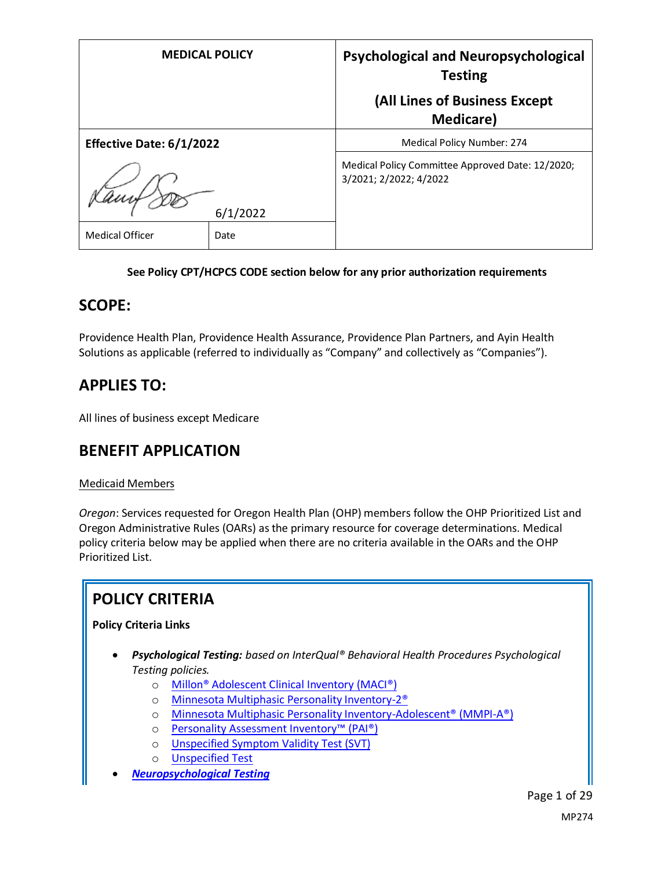| <b>MEDICAL POLICY</b>    |      | <b>Psychological and Neuropsychological</b><br><b>Testing</b>              |  |  |
|--------------------------|------|----------------------------------------------------------------------------|--|--|
|                          |      | (All Lines of Business Except<br>Medicare)                                 |  |  |
| Effective Date: 6/1/2022 |      | Medical Policy Number: 274                                                 |  |  |
| 6/1/2022                 |      | Medical Policy Committee Approved Date: 12/2020;<br>3/2021; 2/2022; 4/2022 |  |  |
| <b>Medical Officer</b>   | Date |                                                                            |  |  |

### **See Policy CPT/HCPCS CODE section below for any prior authorization requirements**

### **SCOPE:**

Providence Health Plan, Providence Health Assurance, Providence Plan Partners, and Ayin Health Solutions as applicable (referred to individually as "Company" and collectively as "Companies").

# **APPLIES TO:**

All lines of business except Medicare

### **BENEFIT APPLICATION**

### Medicaid Members

*Oregon*: Services requested for Oregon Health Plan (OHP) members follow the OHP Prioritized List and Oregon Administrative Rules (OARs) as the primary resource for coverage determinations. Medical policy criteria below may be applied when there are no criteria available in the OARs and the OHP Prioritized List.

# **POLICY CRITERIA**

### **Policy Criteria Links**

- *Psychological Testing: based on InterQual® Behavioral Health Procedures Psychological Testing policies.*
	- o [Millon® Adolescent Clinical Inventory \(MACI®\)](#page-1-0)
	- o [Minnesota Multiphasic Personality Inventory-2®](#page-2-0)
	- o [Minnesota Multiphasic Personality Inventory-Adolescent® \(MMPI-A®\)](#page-3-0)
	- o [Personality Assessment Inventory™ \(PAI®\)](#page-5-0)
	- o [Unspecified Symptom Validity Test \(SVT\)](#page-6-0)
	- o [Unspecified Test](#page-6-0)
- *[Neuropsychological Testing](#page-10-0)*

Page 1 of 29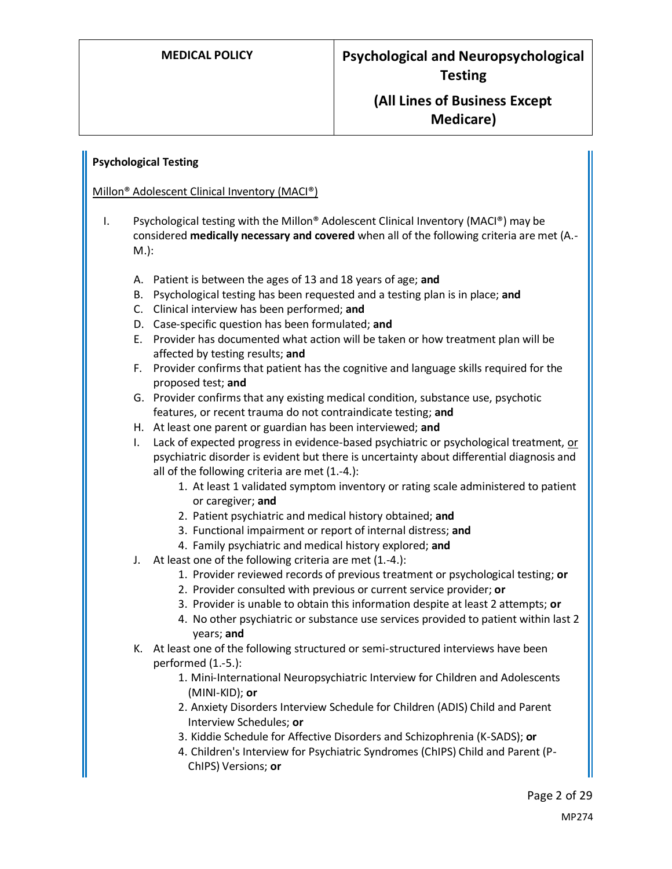### <span id="page-1-0"></span>**Psychological Testing**

#### Millon® Adolescent Clinical Inventory (MACI®)

- I. Psychological testing with the Millon® Adolescent Clinical Inventory (MACI®) may be considered **medically necessary and covered** when all of the following criteria are met (A.- M.):
	- A. Patient is between the ages of 13 and 18 years of age; **and**
	- B. Psychological testing has been requested and a testing plan is in place; **and**
	- C. Clinical interview has been performed; **and**
	- D. Case-specific question has been formulated; **and**
	- E. Provider has documented what action will be taken or how treatment plan will be affected by testing results; **and**
	- F. Provider confirms that patient has the cognitive and language skills required for the proposed test; **and**
	- G. Provider confirms that any existing medical condition, substance use, psychotic features, or recent trauma do not contraindicate testing; **and**
	- H. At least one parent or guardian has been interviewed; **and**
	- I. Lack of expected progress in evidence-based psychiatric or psychological treatment, or psychiatric disorder is evident but there is uncertainty about differential diagnosis and all of the following criteria are met (1.-4.):
		- 1. At least 1 validated symptom inventory or rating scale administered to patient or caregiver; **and**
		- 2. Patient psychiatric and medical history obtained; **and**
		- 3. Functional impairment or report of internal distress; **and**
		- 4. Family psychiatric and medical history explored; **and**
	- J. At least one of the following criteria are met (1.-4.):
		- 1. Provider reviewed records of previous treatment or psychological testing; **or**
			- 2. Provider consulted with previous or current service provider; **or**
			- 3. Provider is unable to obtain this information despite at least 2 attempts; **or**
		- 4. No other psychiatric or substance use services provided to patient within last 2 years; **and**
	- K. At least one of the following structured or semi-structured interviews have been performed (1.-5.):
		- 1. Mini-International Neuropsychiatric Interview for Children and Adolescents (MINI-KID); **or**
		- 2. Anxiety Disorders Interview Schedule for Children (ADIS) Child and Parent Interview Schedules; **or**
		- 3. Kiddie Schedule for Affective Disorders and Schizophrenia (K-SADS); **or**
		- 4. Children's Interview for Psychiatric Syndromes (ChIPS) Child and Parent (P-ChIPS) Versions; **or**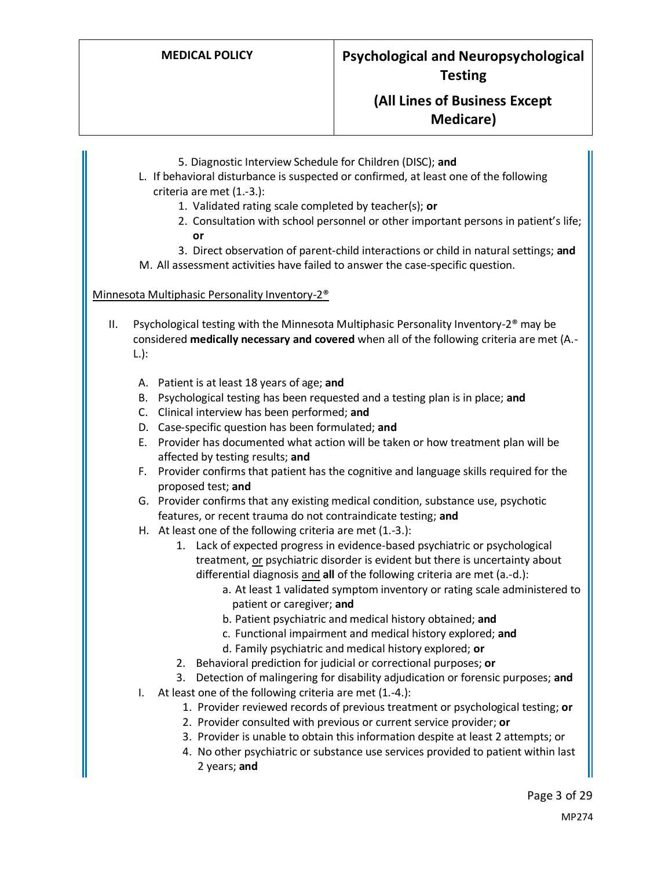- 5. Diagnostic Interview Schedule for Children (DISC); **and**
- L. If behavioral disturbance is suspected or confirmed, at least one of the following criteria are met (1.-3.):
	- 1. Validated rating scale completed by teacher(s); **or**
	- 2. Consultation with school personnel or other important persons in patient's life; **or**
	- 3. Direct observation of parent-child interactions or child in natural settings; **and**

M. All assessment activities have failed to answer the case-specific question.

#### <span id="page-2-0"></span>Minnesota Multiphasic Personality Inventory-2®

- II. Psychological testing with the Minnesota Multiphasic Personality Inventory-2® may be considered **medically necessary and covered** when all of the following criteria are met (A.- L.):
	- A. Patient is at least 18 years of age; **and**
	- B. Psychological testing has been requested and a testing plan is in place; **and**
	- C. Clinical interview has been performed; **and**
	- D. Case-specific question has been formulated; **and**
	- E. Provider has documented what action will be taken or how treatment plan will be affected by testing results; **and**
	- F. Provider confirms that patient has the cognitive and language skills required for the proposed test; **and**
	- G. Provider confirms that any existing medical condition, substance use, psychotic features, or recent trauma do not contraindicate testing; **and**
	- H. At least one of the following criteria are met (1.-3.):
		- 1. Lack of expected progress in evidence-based psychiatric or psychological treatment, or psychiatric disorder is evident but there is uncertainty about differential diagnosis and **all** of the following criteria are met (a.-d.):
			- a. At least 1 validated symptom inventory or rating scale administered to patient or caregiver; **and**
			- b. Patient psychiatric and medical history obtained; **and**
			- c. Functional impairment and medical history explored; **and**
			- d. Family psychiatric and medical history explored; **or**
		- 2. Behavioral prediction for judicial or correctional purposes; **or**
		- 3. Detection of malingering for disability adjudication or forensic purposes; **and**
	- I. At least one of the following criteria are met (1.-4.):
		- 1. Provider reviewed records of previous treatment or psychological testing; **or**
		- 2. Provider consulted with previous or current service provider; **or**
		- 3. Provider is unable to obtain this information despite at least 2 attempts; or
		- 4. No other psychiatric or substance use services provided to patient within last 2 years; **and**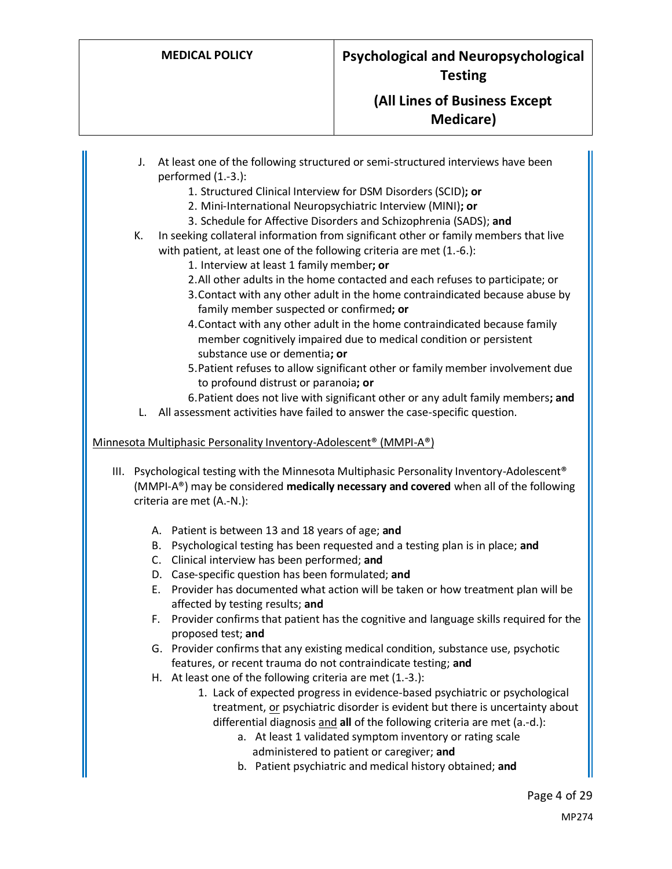- J. At least one of the following structured or semi-structured interviews have been performed (1.-3.):
	- 1. Structured Clinical Interview for DSM Disorders (SCID)**; or**
	- 2. Mini-International Neuropsychiatric Interview (MINI)**; or**
	- 3. Schedule for Affective Disorders and Schizophrenia (SADS); **and**
- K. In seeking collateral information from significant other or family members that live with patient, at least one of the following criteria are met (1.-6.):
	- 1. Interview at least 1 family member**; or**
	- 2.All other adults in the home contacted and each refuses to participate; or
	- 3.Contact with any other adult in the home contraindicated because abuse by family member suspected or confirmed**; or**
	- 4.Contact with any other adult in the home contraindicated because family member cognitively impaired due to medical condition or persistent substance use or dementia**; or**
	- 5.Patient refuses to allow significant other or family member involvement due to profound distrust or paranoia**; or**
	- 6.Patient does not live with significant other or any adult family members**; and**
- L. All assessment activities have failed to answer the case-specific question.

### <span id="page-3-0"></span>Minnesota Multiphasic Personality Inventory-Adolescent® (MMPI-A®)

- III. Psychological testing with the Minnesota Multiphasic Personality Inventory-Adolescent® (MMPI-A®) may be considered **medically necessary and covered** when all of the following criteria are met (A.-N.):
	- A. Patient is between 13 and 18 years of age; **and**
	- B. Psychological testing has been requested and a testing plan is in place; **and**
	- C. Clinical interview has been performed; **and**
	- D. Case-specific question has been formulated; **and**
	- E. Provider has documented what action will be taken or how treatment plan will be affected by testing results; **and**
	- F. Provider confirms that patient has the cognitive and language skills required for the proposed test; **and**
	- G. Provider confirms that any existing medical condition, substance use, psychotic features, or recent trauma do not contraindicate testing; **and**
	- H. At least one of the following criteria are met (1.-3.):
		- 1. Lack of expected progress in evidence-based psychiatric or psychological treatment, or psychiatric disorder is evident but there is uncertainty about differential diagnosis and **all** of the following criteria are met (a.-d.):
			- a. At least 1 validated symptom inventory or rating scale administered to patient or caregiver; **and**
			- b. Patient psychiatric and medical history obtained; **and**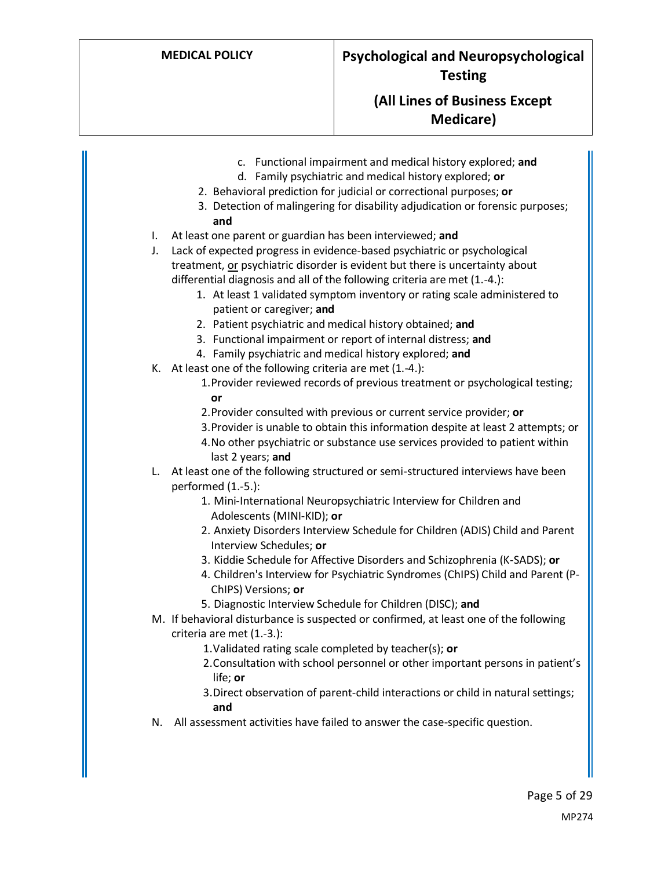- c. Functional impairment and medical history explored; **and**
- d. Family psychiatric and medical history explored; **or**
- 2. Behavioral prediction for judicial or correctional purposes; **or**
- 3. Detection of malingering for disability adjudication or forensic purposes; **and**
- I. At least one parent or guardian has been interviewed; **and**
- J. Lack of expected progress in evidence-based psychiatric or psychological treatment, or psychiatric disorder is evident but there is uncertainty about differential diagnosis and all of the following criteria are met (1.-4.):
	- 1. At least 1 validated symptom inventory or rating scale administered to patient or caregiver; **and**
	- 2. Patient psychiatric and medical history obtained; **and**
	- 3. Functional impairment or report of internal distress; **and**
	- 4. Family psychiatric and medical history explored; **and**
- K. At least one of the following criteria are met (1.-4.):
	- 1.Provider reviewed records of previous treatment or psychological testing; **or**
	- 2.Provider consulted with previous or current service provider; **or**
	- 3.Provider is unable to obtain this information despite at least 2 attempts; or
	- 4.No other psychiatric or substance use services provided to patient within last 2 years; **and**
- L. At least one of the following structured or semi-structured interviews have been performed (1.-5.):
	- 1. Mini-International Neuropsychiatric Interview for Children and Adolescents (MINI-KID); **or**
	- 2. Anxiety Disorders Interview Schedule for Children (ADIS) Child and Parent Interview Schedules; **or**
	- 3. Kiddie Schedule for Affective Disorders and Schizophrenia (K-SADS); **or**
	- 4. Children's Interview for Psychiatric Syndromes (ChIPS) Child and Parent (P-ChIPS) Versions; **or**
	- 5. Diagnostic Interview Schedule for Children (DISC); **and**
- M. If behavioral disturbance is suspected or confirmed, at least one of the following criteria are met (1.-3.):
	- 1.Validated rating scale completed by teacher(s); **or**
	- 2.Consultation with school personnel or other important persons in patient's life; **or**
	- 3.Direct observation of parent-child interactions or child in natural settings; **and**
- N. All assessment activities have failed to answer the case-specific question.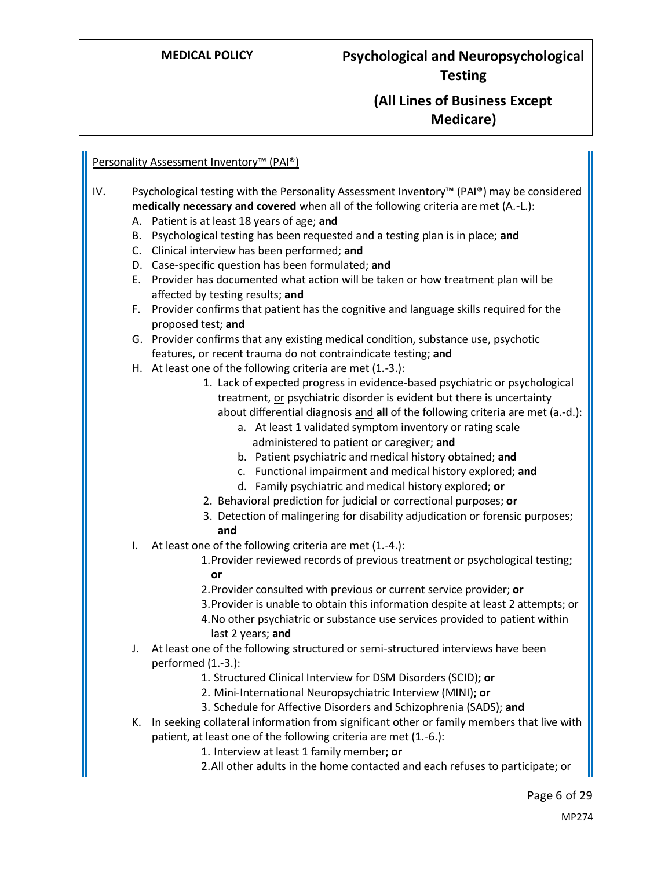### <span id="page-5-0"></span>Personality Assessment Inventory<sup>™</sup> (PAI®)

- IV. Psychological testing with the Personality Assessment Inventory™ (PAI®) may be considered **medically necessary and covered** when all of the following criteria are met (A.-L.):
	- A. Patient is at least 18 years of age; **and**
	- B. Psychological testing has been requested and a testing plan is in place; **and**
	- C. Clinical interview has been performed; **and**
	- D. Case-specific question has been formulated; **and**
	- E. Provider has documented what action will be taken or how treatment plan will be affected by testing results; **and**
	- F. Provider confirms that patient has the cognitive and language skills required for the proposed test; **and**

G. Provider confirms that any existing medical condition, substance use, psychotic features, or recent trauma do not contraindicate testing; **and**

- H. At least one of the following criteria are met (1.-3.):
	- 1. Lack of expected progress in evidence-based psychiatric or psychological treatment, or psychiatric disorder is evident but there is uncertainty about differential diagnosis and **all** of the following criteria are met (a.-d.):
		- a. At least 1 validated symptom inventory or rating scale administered to patient or caregiver; **and**
		- b. Patient psychiatric and medical history obtained; **and**
		- c. Functional impairment and medical history explored; **and**
		- d. Family psychiatric and medical history explored; **or**
	- 2. Behavioral prediction for judicial or correctional purposes; **or**
	- 3. Detection of malingering for disability adjudication or forensic purposes; **and**
- I. At least one of the following criteria are met (1.-4.):
	- 1.Provider reviewed records of previous treatment or psychological testing; **or**
	- 2.Provider consulted with previous or current service provider; **or**
	- 3.Provider is unable to obtain this information despite at least 2 attempts; or
	- 4.No other psychiatric or substance use services provided to patient within last 2 years; **and**
- J. At least one of the following structured or semi-structured interviews have been performed (1.-3.):
	- 1. Structured Clinical Interview for DSM Disorders (SCID)**; or**
	- 2. Mini-International Neuropsychiatric Interview (MINI)**; or**
	- 3. Schedule for Affective Disorders and Schizophrenia (SADS); **and**
- K. In seeking collateral information from significant other or family members that live with patient, at least one of the following criteria are met (1.-6.):
	- 1. Interview at least 1 family member**; or**
	- 2.All other adults in the home contacted and each refuses to participate; or

Page 6 of 29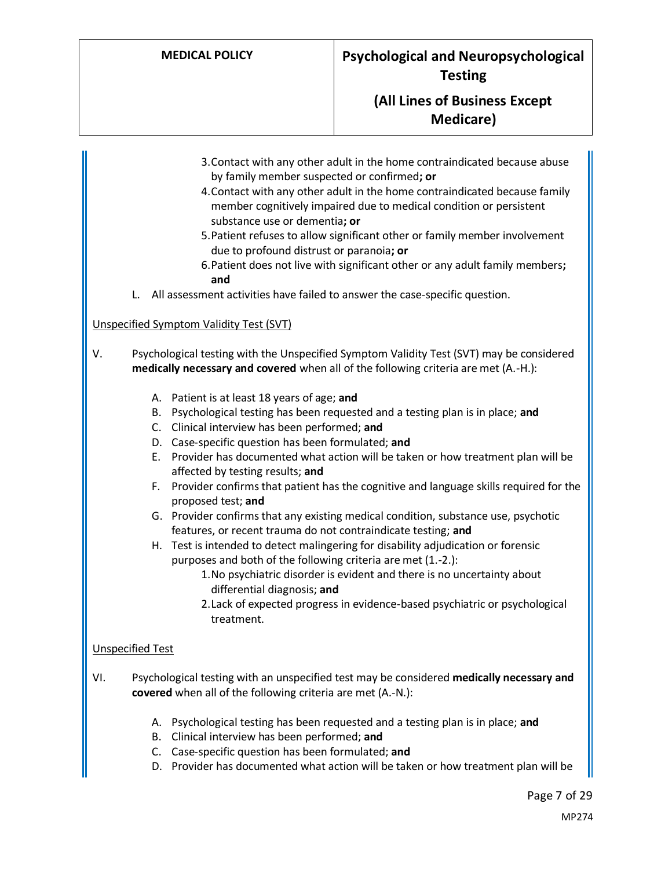- 3.Contact with any other adult in the home contraindicated because abuse by family member suspected or confirmed**; or**
- 4.Contact with any other adult in the home contraindicated because family member cognitively impaired due to medical condition or persistent substance use or dementia**; or**
- 5.Patient refuses to allow significant other or family member involvement due to profound distrust or paranoia**; or**
- 6.Patient does not live with significant other or any adult family members**; and**
- L. All assessment activities have failed to answer the case-specific question.

### Unspecified Symptom Validity Test (SVT)

- V. Psychological testing with the Unspecified Symptom Validity Test (SVT) may be considered **medically necessary and covered** when all of the following criteria are met (A.-H.):
	- A. Patient is at least 18 years of age; **and**
	- B. Psychological testing has been requested and a testing plan is in place; **and**
	- C. Clinical interview has been performed; **and**
	- D. Case-specific question has been formulated; **and**
	- E. Provider has documented what action will be taken or how treatment plan will be affected by testing results; **and**
	- F. Provider confirms that patient has the cognitive and language skills required for the proposed test; **and**
	- G. Provider confirms that any existing medical condition, substance use, psychotic features, or recent trauma do not contraindicate testing; **and**
	- H. Test is intended to detect malingering for disability adjudication or forensic purposes and both of the following criteria are met (1.-2.):
		- 1.No psychiatric disorder is evident and there is no uncertainty about differential diagnosis; **and**
		- 2.Lack of expected progress in evidence-based psychiatric or psychological treatment.

### <span id="page-6-0"></span>Unspecified Test

- VI. Psychological testing with an unspecified test may be considered **medically necessary and covered** when all of the following criteria are met (A.-N.):
	- A. Psychological testing has been requested and a testing plan is in place; **and**
	- B. Clinical interview has been performed; **and**
	- C. Case-specific question has been formulated; **and**
	- D. Provider has documented what action will be taken or how treatment plan will be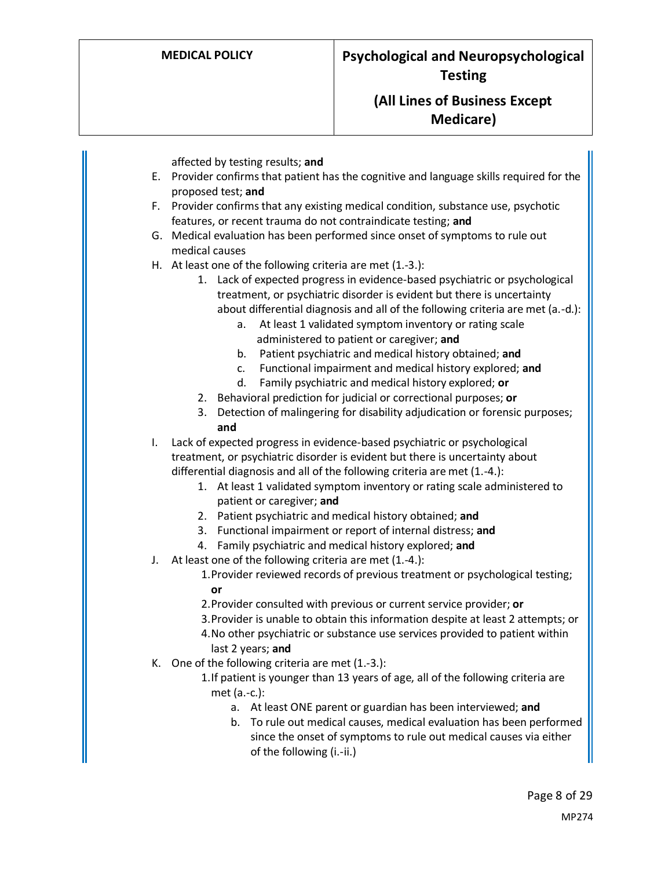affected by testing results; **and**

- E. Provider confirms that patient has the cognitive and language skills required for the proposed test; **and**
- F. Provider confirms that any existing medical condition, substance use, psychotic features, or recent trauma do not contraindicate testing; **and**
- G. Medical evaluation has been performed since onset of symptoms to rule out medical causes
- H. At least one of the following criteria are met (1.-3.):
	- 1. Lack of expected progress in evidence-based psychiatric or psychological treatment, or psychiatric disorder is evident but there is uncertainty about differential diagnosis and all of the following criteria are met (a.-d.):
		- a. At least 1 validated symptom inventory or rating scale administered to patient or caregiver; **and**
		- b. Patient psychiatric and medical history obtained; **and**
		- c. Functional impairment and medical history explored; **and**
		- d. Family psychiatric and medical history explored; **or**
	- 2. Behavioral prediction for judicial or correctional purposes; **or**
	- 3. Detection of malingering for disability adjudication or forensic purposes; **and**

I. Lack of expected progress in evidence-based psychiatric or psychological treatment, or psychiatric disorder is evident but there is uncertainty about differential diagnosis and all of the following criteria are met (1.-4.):

- 1. At least 1 validated symptom inventory or rating scale administered to patient or caregiver; **and**
- 2. Patient psychiatric and medical history obtained; **and**
- 3. Functional impairment or report of internal distress; **and**
- 4. Family psychiatric and medical history explored; **and**
- J. At least one of the following criteria are met (1.-4.):
	- 1.Provider reviewed records of previous treatment or psychological testing; **or**
	- 2.Provider consulted with previous or current service provider; **or**
	- 3.Provider is unable to obtain this information despite at least 2 attempts; or
	- 4.No other psychiatric or substance use services provided to patient within last 2 years; **and**
- K. One of the following criteria are met (1.-3.):
	- 1.If patient is younger than 13 years of age, all of the following criteria are met (a.-c.):
		- a. At least ONE parent or guardian has been interviewed; **and**
		- b. To rule out medical causes, medical evaluation has been performed since the onset of symptoms to rule out medical causes via either of the following (i.-ii.)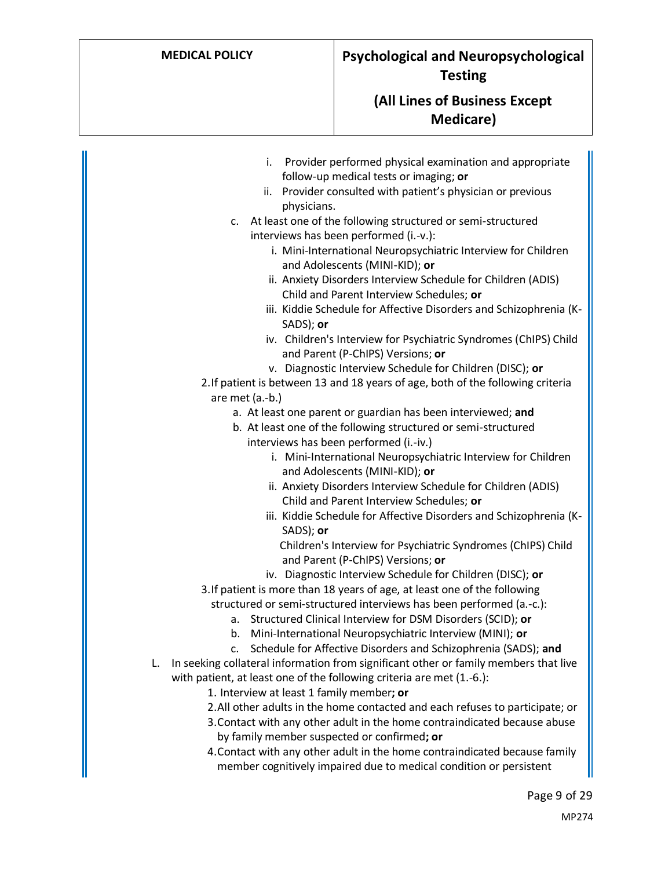- i. Provider performed physical examination and appropriate follow-up medical tests or imaging; **or**
- ii. Provider consulted with patient's physician or previous physicians.
- c. At least one of the following structured or semi-structured interviews has been performed (i.-v.):
	- i. Mini-International Neuropsychiatric Interview for Children and Adolescents (MINI-KID); **or**
	- ii. Anxiety Disorders Interview Schedule for Children (ADIS) Child and Parent Interview Schedules; **or**
	- iii. Kiddie Schedule for Affective Disorders and Schizophrenia (K-SADS); **or**
	- iv. Children's Interview for Psychiatric Syndromes (ChIPS) Child and Parent (P-ChIPS) Versions; **or**
	- v. Diagnostic Interview Schedule for Children (DISC); **or**

2.If patient is between 13 and 18 years of age, both of the following criteria are met (a.-b.)

- a. At least one parent or guardian has been interviewed; **and**
	- b. At least one of the following structured or semi-structured interviews has been performed (i.-iv.)
		- i. Mini-International Neuropsychiatric Interview for Children and Adolescents (MINI-KID); **or**
		- ii. Anxiety Disorders Interview Schedule for Children (ADIS) Child and Parent Interview Schedules; **or**
		- iii. Kiddie Schedule for Affective Disorders and Schizophrenia (K-SADS); **or**

Children's Interview for Psychiatric Syndromes (ChIPS) Child and Parent (P-ChIPS) Versions; **or**

- iv. Diagnostic Interview Schedule for Children (DISC); **or**
- 3.If patient is more than 18 years of age, at least one of the following structured or semi-structured interviews has been performed (a.-c.):
	- a. Structured Clinical Interview for DSM Disorders (SCID); **or**
	- b. Mini-International Neuropsychiatric Interview (MINI); **or**
	- c. Schedule for Affective Disorders and Schizophrenia (SADS); **and**
- L. In seeking collateral information from significant other or family members that live with patient, at least one of the following criteria are met (1.-6.):
	- 1. Interview at least 1 family member**; or**
	- 2.All other adults in the home contacted and each refuses to participate; or
	- 3.Contact with any other adult in the home contraindicated because abuse by family member suspected or confirmed**; or**
	- 4.Contact with any other adult in the home contraindicated because family member cognitively impaired due to medical condition or persistent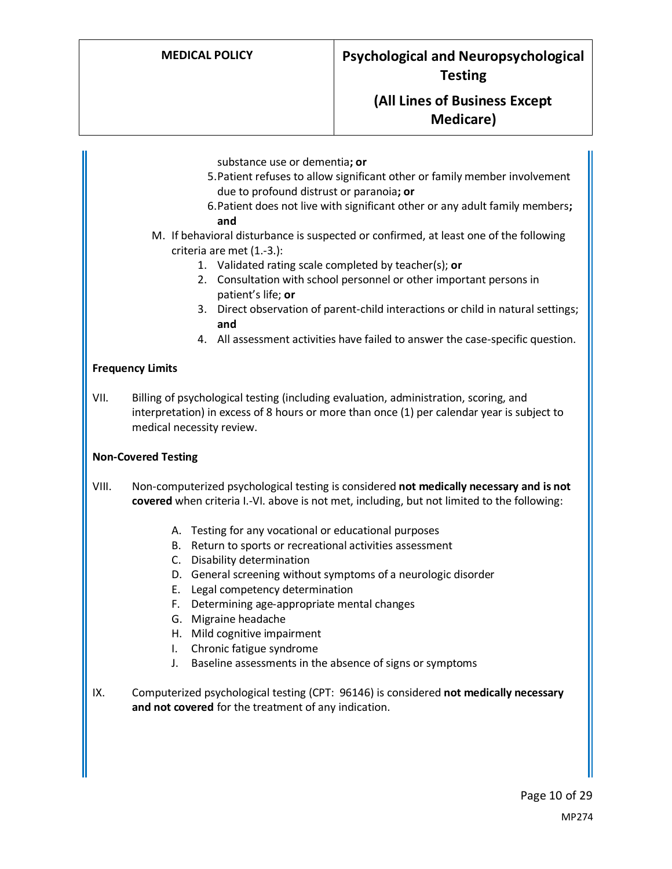- substance use or dementia**; or**
- 5.Patient refuses to allow significant other or family member involvement due to profound distrust or paranoia**; or**
- 6.Patient does not live with significant other or any adult family members**; and**
- M. If behavioral disturbance is suspected or confirmed, at least one of the following criteria are met (1.-3.):
	- 1. Validated rating scale completed by teacher(s); **or**
	- 2. Consultation with school personnel or other important persons in patient's life; **or**
	- 3. Direct observation of parent-child interactions or child in natural settings; **and**
	- 4. All assessment activities have failed to answer the case-specific question.

#### **Frequency Limits**

VII. Billing of psychological testing (including evaluation, administration, scoring, and interpretation) in excess of 8 hours or more than once (1) per calendar year is subject to medical necessity review.

#### **Non-Covered Testing**

- VIII. Non-computerized psychological testing is considered **not medically necessary and is not covered** when criteria I.-VI. above is not met, including, but not limited to the following:
	- A. Testing for any vocational or educational purposes
	- B. Return to sports or recreational activities assessment
	- C. Disability determination
	- D. General screening without symptoms of a neurologic disorder
	- E. Legal competency determination
	- F. Determining age-appropriate mental changes
	- G. Migraine headache
	- H. Mild cognitive impairment
	- I. Chronic fatigue syndrome
	- J. Baseline assessments in the absence of signs or symptoms
- IX. Computerized psychological testing (CPT: 96146) is considered **not medically necessary and not covered** for the treatment of any indication.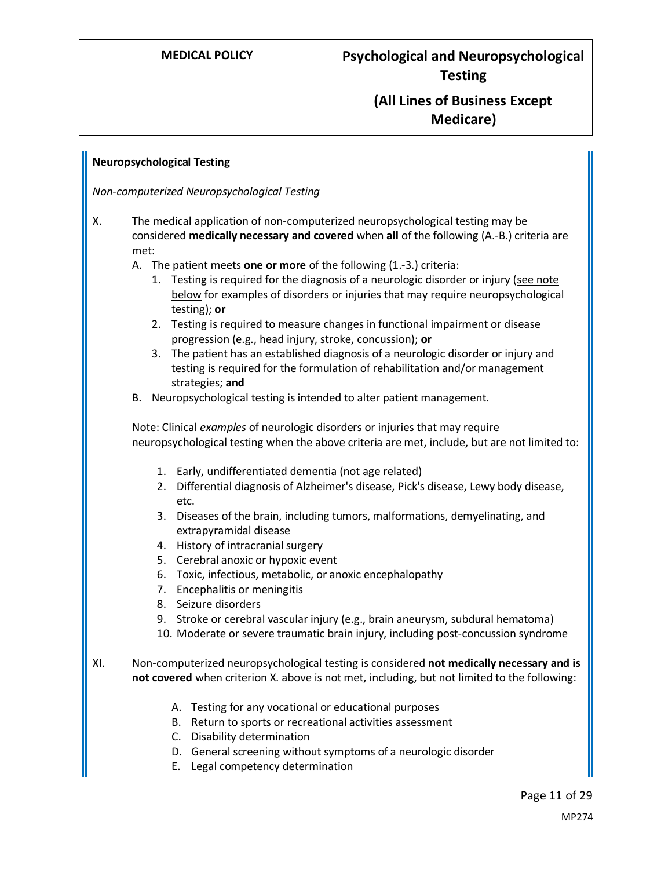### <span id="page-10-0"></span>**Neuropsychological Testing**

*Non-computerized Neuropsychological Testing*

- X. The medical application of non-computerized neuropsychological testing may be considered **medically necessary and covered** when **all** of the following (A.-B.) criteria are met:
	- A. The patient meets **one or more** of the following (1.-3.) criteria:
		- 1. Testing is required for the diagnosis of a neurologic disorder or injury (see note below for examples of disorders or injuries that may require neuropsychological testing); **or**
		- 2. Testing is required to measure changes in functional impairment or disease progression (e.g., head injury, stroke, concussion); **or**
		- 3. The patient has an established diagnosis of a neurologic disorder or injury and testing is required for the formulation of rehabilitation and/or management strategies; **and**
	- B. Neuropsychological testing is intended to alter patient management.

Note: Clinical *examples* of neurologic disorders or injuries that may require neuropsychological testing when the above criteria are met, include, but are not limited to:

- 1. Early, undifferentiated dementia (not age related)
- 2. Differential diagnosis of Alzheimer's disease, Pick's disease, Lewy body disease, etc.
- 3. Diseases of the brain, including tumors, malformations, demyelinating, and extrapyramidal disease
- 4. History of intracranial surgery
- 5. Cerebral anoxic or hypoxic event
- 6. Toxic, infectious, metabolic, or anoxic encephalopathy
- 7. Encephalitis or meningitis
- 8. Seizure disorders
- 9. Stroke or cerebral vascular injury (e.g., brain aneurysm, subdural hematoma)
- 10. Moderate or severe traumatic brain injury, including post-concussion syndrome
- XI. Non-computerized neuropsychological testing is considered **not medically necessary and is not covered** when criterion X. above is not met, including, but not limited to the following:
	- A. Testing for any vocational or educational purposes
	- B. Return to sports or recreational activities assessment
	- C. Disability determination
	- D. General screening without symptoms of a neurologic disorder
	- E. Legal competency determination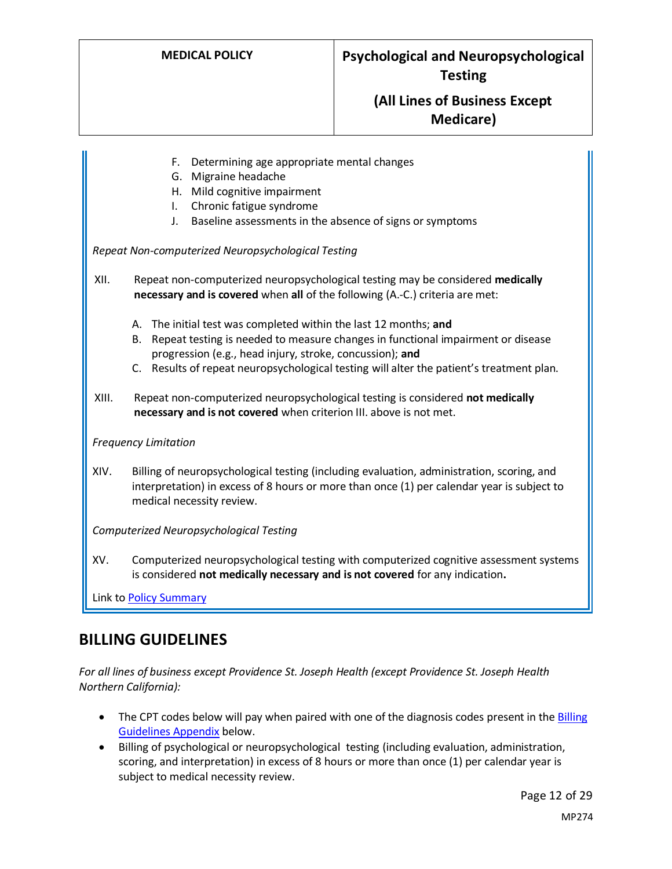- F. Determining age appropriate mental changes
- G. Migraine headache
- H. Mild cognitive impairment
- I. Chronic fatigue syndrome
- J. Baseline assessments in the absence of signs or symptoms

*Repeat Non-computerized Neuropsychological Testing*

XII. Repeat non-computerized neuropsychological testing may be considered **medically necessary and is covered** when **all** of the following (A.-C.) criteria are met:

- A. The initial test was completed within the last 12 months; **and**
- B. Repeat testing is needed to measure changes in functional impairment or disease progression (e.g., head injury, stroke, concussion); **and**
- C. Results of repeat neuropsychological testing will alter the patient's treatment plan.
- XIII. Repeat non-computerized neuropsychological testing is considered **not medically necessary and is not covered** when criterion III. above is not met.

*Frequency Limitation*

XIV. Billing of neuropsychological testing (including evaluation, administration, scoring, and interpretation) in excess of 8 hours or more than once (1) per calendar year is subject to medical necessity review.

*Computerized Neuropsychological Testing*

XV. Computerized neuropsychological testing with computerized cognitive assessment systems is considered **not medically necessary and is not covered** for any indication**.**

Link t[o Policy Summary](#page-18-0)

### **BILLING GUIDELINES**

*For all lines of business except Providence St. Joseph Health (except Providence St. Joseph Health Northern California):* 

- The CPT codes below will pay when paired with one of the diagnosis codes present in the Billing [Guidelines Appendix](#page-19-0) below.
- Billing of psychological or neuropsychological testing (including evaluation, administration, scoring, and interpretation) in excess of 8 hours or more than once (1) per calendar year is subject to medical necessity review.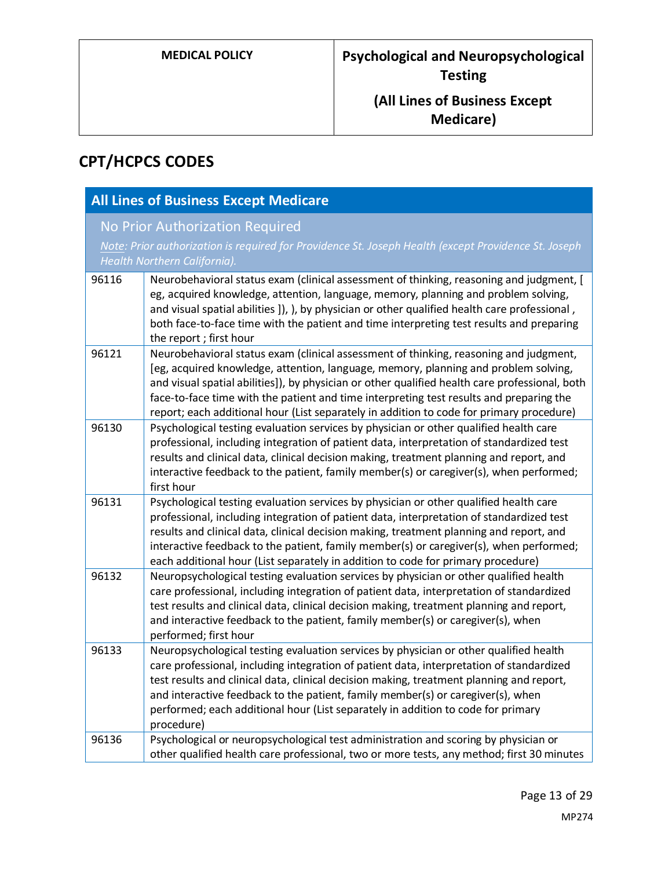# **CPT/HCPCS CODES**

|       | <b>All Lines of Business Except Medicare</b>                                                                                                                                                                                                                                                                                                                                                                                                                          |
|-------|-----------------------------------------------------------------------------------------------------------------------------------------------------------------------------------------------------------------------------------------------------------------------------------------------------------------------------------------------------------------------------------------------------------------------------------------------------------------------|
|       | <b>No Prior Authorization Required</b><br>Note: Prior authorization is required for Providence St. Joseph Health (except Providence St. Joseph                                                                                                                                                                                                                                                                                                                        |
|       | Health Northern California).                                                                                                                                                                                                                                                                                                                                                                                                                                          |
| 96116 | Neurobehavioral status exam (clinical assessment of thinking, reasoning and judgment, [<br>eg, acquired knowledge, attention, language, memory, planning and problem solving,<br>and visual spatial abilities ]), ), by physician or other qualified health care professional,<br>both face-to-face time with the patient and time interpreting test results and preparing<br>the report; first hour                                                                  |
| 96121 | Neurobehavioral status exam (clinical assessment of thinking, reasoning and judgment,<br>[eg, acquired knowledge, attention, language, memory, planning and problem solving,<br>and visual spatial abilities]), by physician or other qualified health care professional, both<br>face-to-face time with the patient and time interpreting test results and preparing the<br>report; each additional hour (List separately in addition to code for primary procedure) |
| 96130 | Psychological testing evaluation services by physician or other qualified health care<br>professional, including integration of patient data, interpretation of standardized test<br>results and clinical data, clinical decision making, treatment planning and report, and<br>interactive feedback to the patient, family member(s) or caregiver(s), when performed;<br>first hour                                                                                  |
| 96131 | Psychological testing evaluation services by physician or other qualified health care<br>professional, including integration of patient data, interpretation of standardized test<br>results and clinical data, clinical decision making, treatment planning and report, and<br>interactive feedback to the patient, family member(s) or caregiver(s), when performed;<br>each additional hour (List separately in addition to code for primary procedure)            |
| 96132 | Neuropsychological testing evaluation services by physician or other qualified health<br>care professional, including integration of patient data, interpretation of standardized<br>test results and clinical data, clinical decision making, treatment planning and report,<br>and interactive feedback to the patient, family member(s) or caregiver(s), when<br>performed; first hour                                                                             |
| 96133 | Neuropsychological testing evaluation services by physician or other qualified health<br>care professional, including integration of patient data, interpretation of standardized<br>test results and clinical data, clinical decision making, treatment planning and report,<br>and interactive feedback to the patient, family member(s) or caregiver(s), when<br>performed; each additional hour (List separately in addition to code for primary<br>procedure)    |
| 96136 | Psychological or neuropsychological test administration and scoring by physician or<br>other qualified health care professional, two or more tests, any method; first 30 minutes                                                                                                                                                                                                                                                                                      |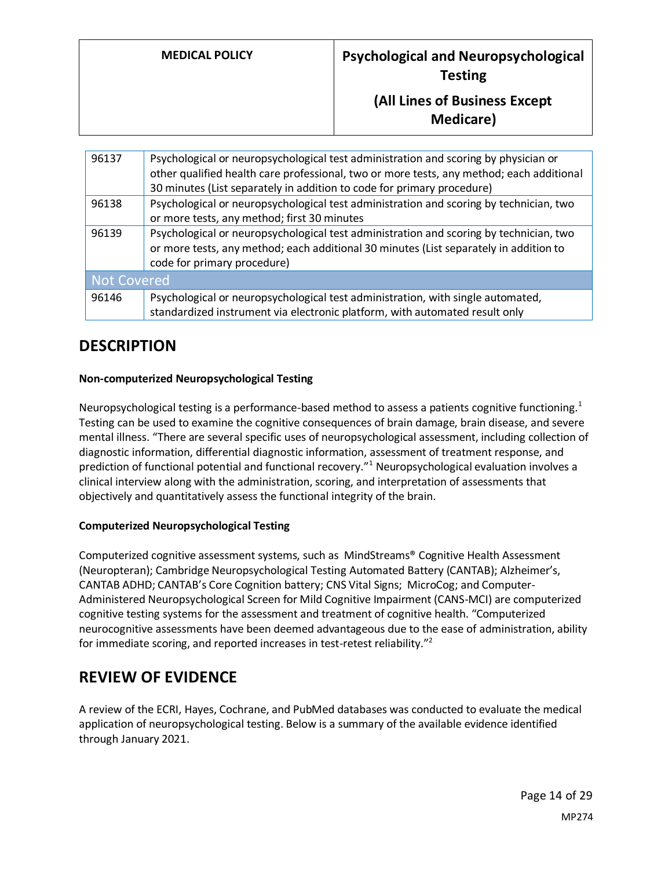| 96137       | Psychological or neuropsychological test administration and scoring by physician or      |
|-------------|------------------------------------------------------------------------------------------|
|             | other qualified health care professional, two or more tests, any method; each additional |
|             | 30 minutes (List separately in addition to code for primary procedure)                   |
| 96138       | Psychological or neuropsychological test administration and scoring by technician, two   |
|             | or more tests, any method; first 30 minutes                                              |
| 96139       | Psychological or neuropsychological test administration and scoring by technician, two   |
|             | or more tests, any method; each additional 30 minutes (List separately in addition to    |
|             | code for primary procedure)                                                              |
| Not Covered |                                                                                          |
| 96146       | Psychological or neuropsychological test administration, with single automated,          |
|             | standardized instrument via electronic platform, with automated result only              |

# **DESCRIPTION**

### **Non-computerized Neuropsychological Testing**

Neuropsychological testing is a performance-based method to assess a patients cognitive functioning.<sup>1</sup> Testing can be used to examine the cognitive consequences of brain damage, brain disease, and severe mental illness. "There are several specific uses of neuropsychological assessment, including collection of diagnostic information, differential diagnostic information, assessment of treatment response, and prediction of functional potential and functional recovery."<sup>1</sup> Neuropsychological evaluation involves a clinical interview along with the administration, scoring, and interpretation of assessments that objectively and quantitatively assess the functional integrity of the brain.

### **Computerized Neuropsychological Testing**

Computerized cognitive assessment systems, such as MindStreams® Cognitive Health Assessment (Neuropteran); Cambridge Neuropsychological Testing Automated Battery (CANTAB); Alzheimer's, CANTAB ADHD; CANTAB's Core Cognition battery; CNS Vital Signs; MicroCog; and Computer-Administered Neuropsychological Screen for Mild Cognitive Impairment (CANS-MCI) are computerized cognitive testing systems for the assessment and treatment of cognitive health. "Computerized neurocognitive assessments have been deemed advantageous due to the ease of administration, ability for immediate scoring, and reported increases in test-retest reliability."<sup>2</sup>

# **REVIEW OF EVIDENCE**

A review of the ECRI, Hayes, Cochrane, and PubMed databases was conducted to evaluate the medical application of neuropsychological testing. Below is a summary of the available evidence identified through January 2021.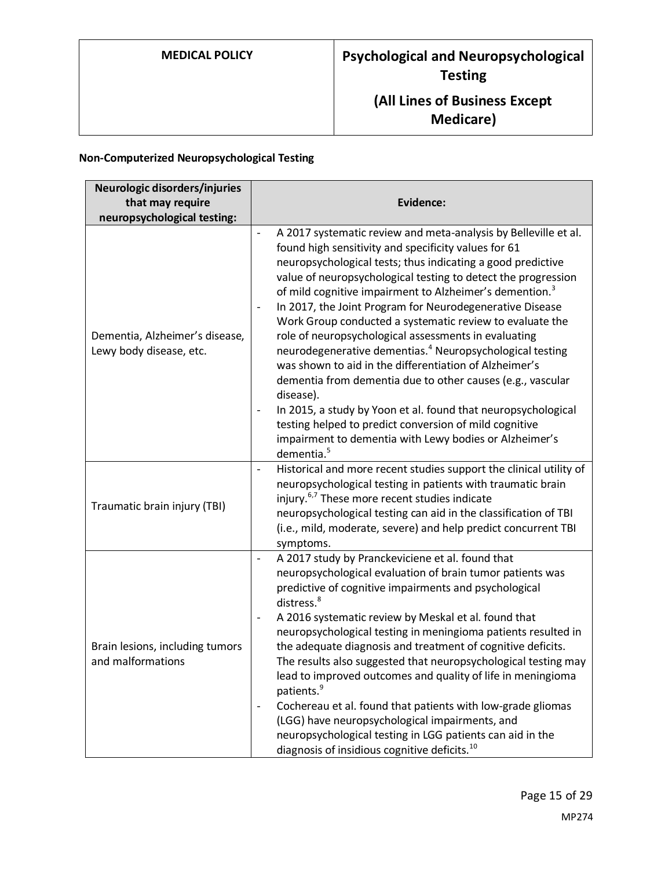### **Non-Computerized Neuropsychological Testing**

| Neurologic disorders/injuries<br>that may require<br>neuropsychological testing: | <b>Evidence:</b>                                                                                                                                                                                                                                                                                                                                                                                                                                                                                                                                                                                                                                                                                                                                                                                                                                                                                                                                                                                                                   |
|----------------------------------------------------------------------------------|------------------------------------------------------------------------------------------------------------------------------------------------------------------------------------------------------------------------------------------------------------------------------------------------------------------------------------------------------------------------------------------------------------------------------------------------------------------------------------------------------------------------------------------------------------------------------------------------------------------------------------------------------------------------------------------------------------------------------------------------------------------------------------------------------------------------------------------------------------------------------------------------------------------------------------------------------------------------------------------------------------------------------------|
| Dementia, Alzheimer's disease,<br>Lewy body disease, etc.                        | A 2017 systematic review and meta-analysis by Belleville et al.<br>$\overline{\phantom{a}}$<br>found high sensitivity and specificity values for 61<br>neuropsychological tests; thus indicating a good predictive<br>value of neuropsychological testing to detect the progression<br>of mild cognitive impairment to Alzheimer's demention. <sup>3</sup><br>In 2017, the Joint Program for Neurodegenerative Disease<br>$\qquad \qquad \blacksquare$<br>Work Group conducted a systematic review to evaluate the<br>role of neuropsychological assessments in evaluating<br>neurodegenerative dementias. <sup>4</sup> Neuropsychological testing<br>was shown to aid in the differentiation of Alzheimer's<br>dementia from dementia due to other causes (e.g., vascular<br>disease).<br>In 2015, a study by Yoon et al. found that neuropsychological<br>$\overline{\phantom{a}}$<br>testing helped to predict conversion of mild cognitive<br>impairment to dementia with Lewy bodies or Alzheimer's<br>dementia. <sup>5</sup> |
| Traumatic brain injury (TBI)                                                     | Historical and more recent studies support the clinical utility of<br>$\overline{\phantom{a}}$<br>neuropsychological testing in patients with traumatic brain<br>injury. <sup>6,7</sup> These more recent studies indicate<br>neuropsychological testing can aid in the classification of TBI<br>(i.e., mild, moderate, severe) and help predict concurrent TBI<br>symptoms.                                                                                                                                                                                                                                                                                                                                                                                                                                                                                                                                                                                                                                                       |
| Brain lesions, including tumors<br>and malformations                             | A 2017 study by Pranckeviciene et al. found that<br>$\overline{\phantom{a}}$<br>neuropsychological evaluation of brain tumor patients was<br>predictive of cognitive impairments and psychological<br>distress. <sup>8</sup><br>A 2016 systematic review by Meskal et al. found that<br>$\overline{\phantom{a}}$<br>neuropsychological testing in meningioma patients resulted in<br>the adequate diagnosis and treatment of cognitive deficits.<br>The results also suggested that neuropsychological testing may<br>lead to improved outcomes and quality of life in meningioma<br>patients. <sup>9</sup><br>Cochereau et al. found that patients with low-grade gliomas<br>(LGG) have neuropsychological impairments, and<br>neuropsychological testing in LGG patients can aid in the<br>diagnosis of insidious cognitive deficits. <sup>10</sup>                                                                                                                                                                              |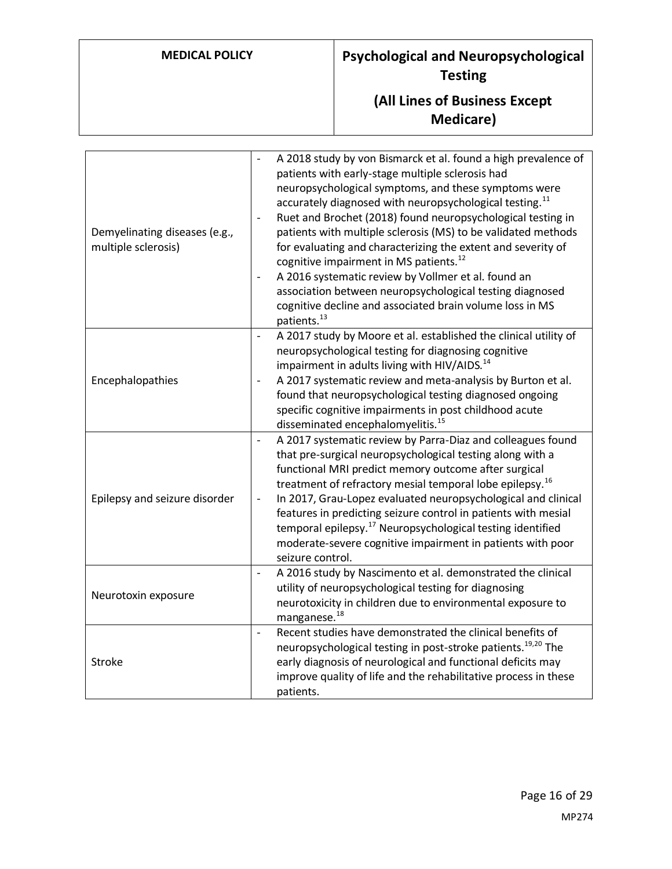| Demyelinating diseases (e.g.,<br>multiple sclerosis) | A 2018 study by von Bismarck et al. found a high prevalence of<br>patients with early-stage multiple sclerosis had<br>neuropsychological symptoms, and these symptoms were<br>accurately diagnosed with neuropsychological testing. <sup>11</sup><br>Ruet and Brochet (2018) found neuropsychological testing in<br>$\overline{\phantom{a}}$<br>patients with multiple sclerosis (MS) to be validated methods<br>for evaluating and characterizing the extent and severity of<br>cognitive impairment in MS patients. <sup>12</sup><br>A 2016 systematic review by Vollmer et al. found an<br>$\frac{1}{2}$<br>association between neuropsychological testing diagnosed<br>cognitive decline and associated brain volume loss in MS<br>patients. <sup>13</sup> |
|------------------------------------------------------|----------------------------------------------------------------------------------------------------------------------------------------------------------------------------------------------------------------------------------------------------------------------------------------------------------------------------------------------------------------------------------------------------------------------------------------------------------------------------------------------------------------------------------------------------------------------------------------------------------------------------------------------------------------------------------------------------------------------------------------------------------------|
| Encephalopathies                                     | A 2017 study by Moore et al. established the clinical utility of<br>$\blacksquare$<br>neuropsychological testing for diagnosing cognitive<br>impairment in adults living with HIV/AIDS. <sup>14</sup><br>A 2017 systematic review and meta-analysis by Burton et al.<br>$\blacksquare$<br>found that neuropsychological testing diagnosed ongoing<br>specific cognitive impairments in post childhood acute<br>disseminated encephalomyelitis. <sup>15</sup>                                                                                                                                                                                                                                                                                                   |
| Epilepsy and seizure disorder                        | A 2017 systematic review by Parra-Diaz and colleagues found<br>$\blacksquare$<br>that pre-surgical neuropsychological testing along with a<br>functional MRI predict memory outcome after surgical<br>treatment of refractory mesial temporal lobe epilepsy. <sup>16</sup><br>In 2017, Grau-Lopez evaluated neuropsychological and clinical<br>$\overline{\phantom{a}}$<br>features in predicting seizure control in patients with mesial<br>temporal epilepsy. <sup>17</sup> Neuropsychological testing identified<br>moderate-severe cognitive impairment in patients with poor<br>seizure control.                                                                                                                                                          |
| Neurotoxin exposure                                  | A 2016 study by Nascimento et al. demonstrated the clinical<br>$\overline{\phantom{a}}$<br>utility of neuropsychological testing for diagnosing<br>neurotoxicity in children due to environmental exposure to<br>manganese. <sup>18</sup>                                                                                                                                                                                                                                                                                                                                                                                                                                                                                                                      |
| <b>Stroke</b>                                        | Recent studies have demonstrated the clinical benefits of<br>$\overline{a}$<br>neuropsychological testing in post-stroke patients. <sup>19,20</sup> The<br>early diagnosis of neurological and functional deficits may<br>improve quality of life and the rehabilitative process in these<br>patients.                                                                                                                                                                                                                                                                                                                                                                                                                                                         |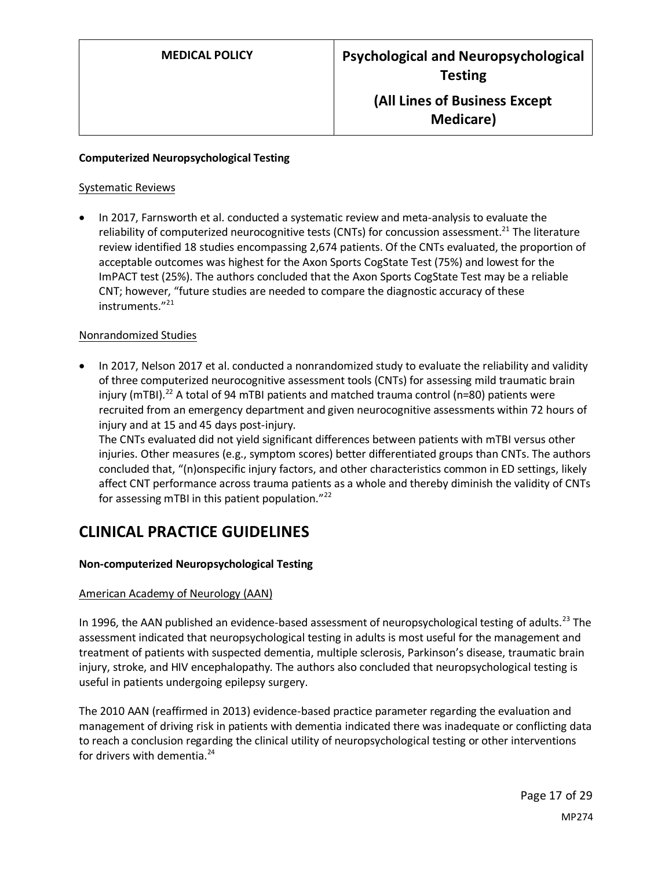#### **Computerized Neuropsychological Testing**

#### Systematic Reviews

• In 2017, Farnsworth et al. conducted a systematic review and meta-analysis to evaluate the reliability of computerized neurocognitive tests (CNTs) for concussion assessment.<sup>21</sup> The literature review identified 18 studies encompassing 2,674 patients. Of the CNTs evaluated, the proportion of acceptable outcomes was highest for the Axon Sports CogState Test (75%) and lowest for the ImPACT test (25%). The authors concluded that the Axon Sports CogState Test may be a reliable CNT; however, "future studies are needed to compare the diagnostic accuracy of these instruments."<sup>21</sup>

#### Nonrandomized Studies

• In 2017, Nelson 2017 et al. conducted a nonrandomized study to evaluate the reliability and validity of three computerized neurocognitive assessment tools (CNTs) for assessing mild traumatic brain injury (mTBI).<sup>22</sup> A total of 94 mTBI patients and matched trauma control (n=80) patients were recruited from an emergency department and given neurocognitive assessments within 72 hours of injury and at 15 and 45 days post-injury.

The CNTs evaluated did not yield significant differences between patients with mTBI versus other injuries. Other measures (e.g., symptom scores) better differentiated groups than CNTs. The authors concluded that, "(n)onspecific injury factors, and other characteristics common in ED settings, likely affect CNT performance across trauma patients as a whole and thereby diminish the validity of CNTs for assessing mTBI in this patient population."<sup>22</sup>

### **CLINICAL PRACTICE GUIDELINES**

### **Non-computerized Neuropsychological Testing**

#### American Academy of Neurology (AAN)

In 1996, the AAN published an evidence-based assessment of neuropsychological testing of adults.<sup>23</sup> The assessment indicated that neuropsychological testing in adults is most useful for the management and treatment of patients with suspected dementia, multiple sclerosis, Parkinson's disease, traumatic brain injury, stroke, and HIV encephalopathy. The authors also concluded that neuropsychological testing is useful in patients undergoing epilepsy surgery.

The 2010 AAN (reaffirmed in 2013) evidence-based practice parameter regarding the evaluation and management of driving risk in patients with dementia indicated there was inadequate or conflicting data to reach a conclusion regarding the clinical utility of neuropsychological testing or other interventions for drivers with dementia.<sup>24</sup>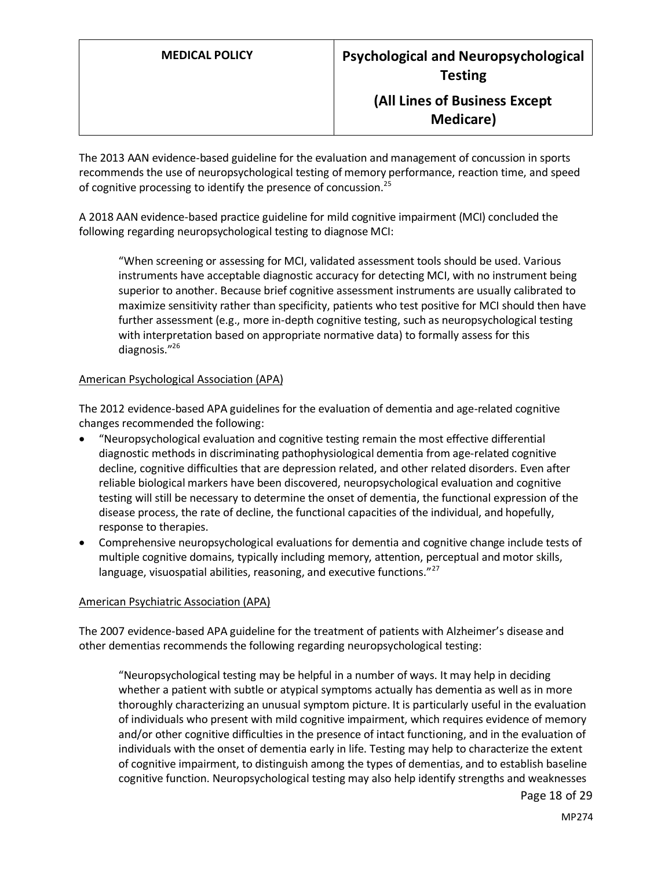The 2013 AAN evidence-based guideline for the evaluation and management of concussion in sports recommends the use of neuropsychological testing of memory performance, reaction time, and speed of cognitive processing to identify the presence of concussion.<sup>25</sup>

A 2018 AAN evidence-based practice guideline for mild cognitive impairment (MCI) concluded the following regarding neuropsychological testing to diagnose MCI:

"When screening or assessing for MCI, validated assessment tools should be used. Various instruments have acceptable diagnostic accuracy for detecting MCI, with no instrument being superior to another. Because brief cognitive assessment instruments are usually calibrated to maximize sensitivity rather than specificity, patients who test positive for MCI should then have further assessment (e.g., more in-depth cognitive testing, such as neuropsychological testing with interpretation based on appropriate normative data) to formally assess for this diagnosis."<sup>26</sup>

#### American Psychological Association (APA)

The 2012 evidence-based APA guidelines for the evaluation of dementia and age-related cognitive changes recommended the following:

- "Neuropsychological evaluation and cognitive testing remain the most effective differential diagnostic methods in discriminating pathophysiological dementia from age-related cognitive decline, cognitive difficulties that are depression related, and other related disorders. Even after reliable biological markers have been discovered, neuropsychological evaluation and cognitive testing will still be necessary to determine the onset of dementia, the functional expression of the disease process, the rate of decline, the functional capacities of the individual, and hopefully, response to therapies.
- Comprehensive neuropsychological evaluations for dementia and cognitive change include tests of multiple cognitive domains, typically including memory, attention, perceptual and motor skills, language, visuospatial abilities, reasoning, and executive functions."<sup>27</sup>

#### American Psychiatric Association (APA)

The 2007 evidence-based APA guideline for the treatment of patients with Alzheimer's disease and other dementias recommends the following regarding neuropsychological testing:

"Neuropsychological testing may be helpful in a number of ways. It may help in deciding whether a patient with subtle or atypical symptoms actually has dementia as well as in more thoroughly characterizing an unusual symptom picture. It is particularly useful in the evaluation of individuals who present with mild cognitive impairment, which requires evidence of memory and/or other cognitive difficulties in the presence of intact functioning, and in the evaluation of individuals with the onset of dementia early in life. Testing may help to characterize the extent of cognitive impairment, to distinguish among the types of dementias, and to establish baseline cognitive function. Neuropsychological testing may also help identify strengths and weaknesses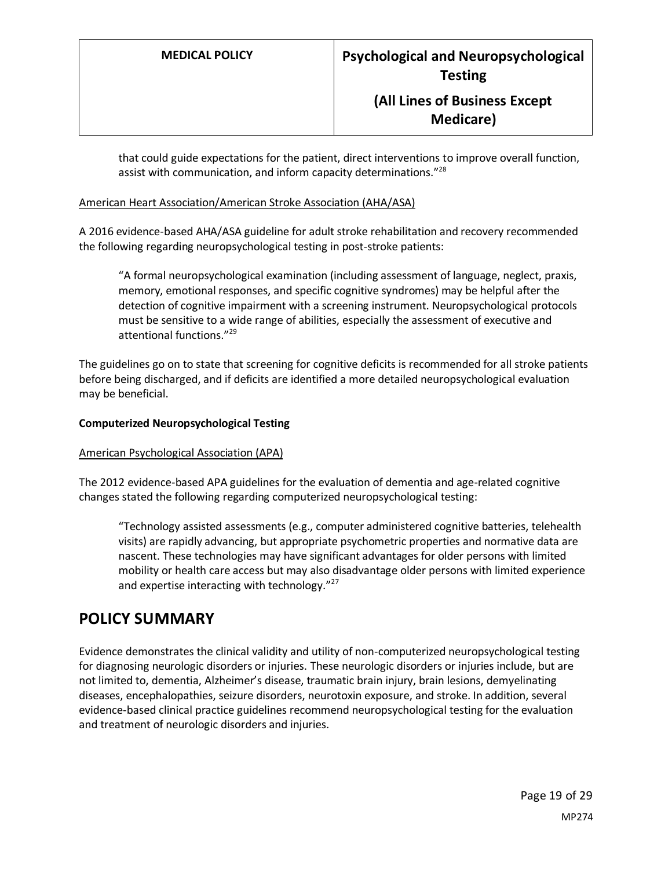that could guide expectations for the patient, direct interventions to improve overall function, assist with communication, and inform capacity determinations."<sup>28</sup>

### American Heart Association/American Stroke Association (AHA/ASA)

A 2016 evidence-based AHA/ASA guideline for adult stroke rehabilitation and recovery recommended the following regarding neuropsychological testing in post-stroke patients:

"A formal neuropsychological examination (including assessment of language, neglect, praxis, memory, emotional responses, and specific cognitive syndromes) may be helpful after the detection of cognitive impairment with a screening instrument. Neuropsychological protocols must be sensitive to a wide range of abilities, especially the assessment of executive and attentional functions."<sup>29</sup>

The guidelines go on to state that screening for cognitive deficits is recommended for all stroke patients before being discharged, and if deficits are identified a more detailed neuropsychological evaluation may be beneficial.

### **Computerized Neuropsychological Testing**

### American Psychological Association (APA)

The 2012 evidence-based APA guidelines for the evaluation of dementia and age-related cognitive changes stated the following regarding computerized neuropsychological testing:

"Technology assisted assessments (e.g., computer administered cognitive batteries, telehealth visits) are rapidly advancing, but appropriate psychometric properties and normative data are nascent. These technologies may have significant advantages for older persons with limited mobility or health care access but may also disadvantage older persons with limited experience and expertise interacting with technology."<sup>27</sup>

### <span id="page-18-0"></span>**POLICY SUMMARY**

Evidence demonstrates the clinical validity and utility of non-computerized neuropsychological testing for diagnosing neurologic disorders or injuries. These neurologic disorders or injuries include, but are not limited to, dementia, Alzheimer's disease, traumatic brain injury, brain lesions, demyelinating diseases, encephalopathies, seizure disorders, neurotoxin exposure, and stroke. In addition, several evidence-based clinical practice guidelines recommend neuropsychological testing for the evaluation and treatment of neurologic disorders and injuries.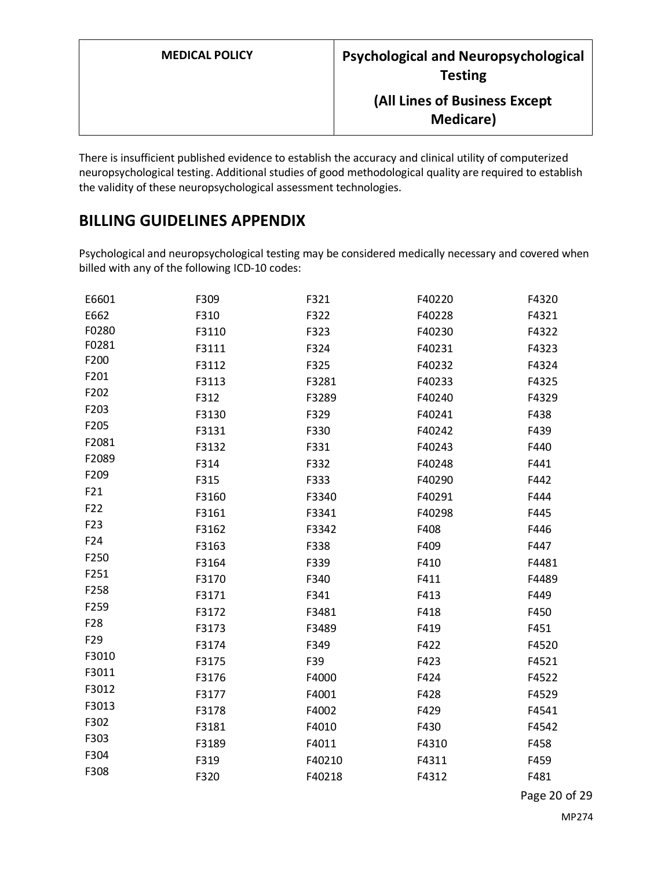| <b>MEDICAL POLICY</b> | <b>Psychological and Neuropsychological</b><br><b>Testing</b> |  |  |
|-----------------------|---------------------------------------------------------------|--|--|
|                       | (All Lines of Business Except<br><b>Medicare</b> )            |  |  |

There is insufficient published evidence to establish the accuracy and clinical utility of computerized neuropsychological testing. Additional studies of good methodological quality are required to establish the validity of these neuropsychological assessment technologies.

# <span id="page-19-0"></span>**BILLING GUIDELINES APPENDIX**

Psychological and neuropsychological testing may be considered medically necessary and covered when billed with any of the following ICD-10 codes:

| E6601           | F309  | F321   | F40220 | F4320 |
|-----------------|-------|--------|--------|-------|
| E662            | F310  | F322   | F40228 | F4321 |
| F0280           | F3110 | F323   | F40230 | F4322 |
| F0281           | F3111 | F324   | F40231 | F4323 |
| F200            | F3112 | F325   | F40232 | F4324 |
| F201            | F3113 | F3281  | F40233 | F4325 |
| F202            | F312  | F3289  | F40240 | F4329 |
| F203            | F3130 | F329   | F40241 | F438  |
| F205            | F3131 | F330   | F40242 | F439  |
| F2081           | F3132 | F331   | F40243 | F440  |
| F2089           | F314  | F332   | F40248 | F441  |
| F209            | F315  | F333   | F40290 | F442  |
| F21             | F3160 | F3340  | F40291 | F444  |
| F22             | F3161 | F3341  | F40298 | F445  |
| F <sub>23</sub> | F3162 | F3342  | F408   | F446  |
| F24             | F3163 | F338   | F409   | F447  |
| F250            | F3164 | F339   | F410   | F4481 |
| F251            | F3170 | F340   | F411   | F4489 |
| F258            | F3171 | F341   | F413   | F449  |
| F259            | F3172 | F3481  | F418   | F450  |
| F <sub>28</sub> | F3173 | F3489  | F419   | F451  |
| F <sub>29</sub> | F3174 | F349   | F422   | F4520 |
| F3010           | F3175 | F39    | F423   | F4521 |
| F3011           | F3176 | F4000  | F424   | F4522 |
| F3012           | F3177 | F4001  | F428   | F4529 |
| F3013           | F3178 | F4002  | F429   | F4541 |
| F302            | F3181 | F4010  | F430   | F4542 |
| F303            | F3189 | F4011  | F4310  | F458  |
| F304            | F319  | F40210 | F4311  | F459  |
| F308            | F320  | F40218 | F4312  | F481  |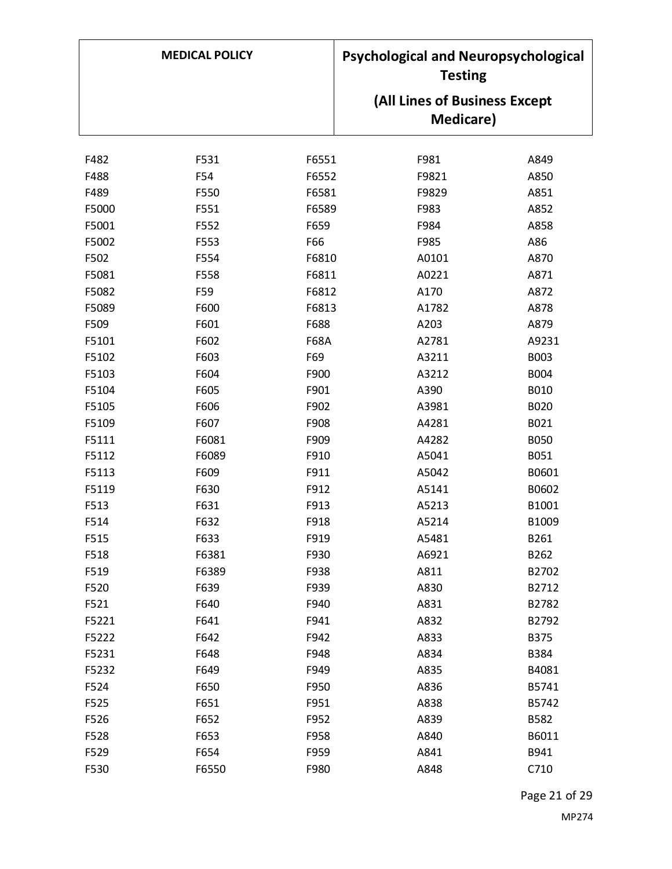|       | <b>MEDICAL POLICY</b> |             | <b>Psychological and Neuropsychological</b><br><b>Testing</b> |             |
|-------|-----------------------|-------------|---------------------------------------------------------------|-------------|
|       |                       |             | (All Lines of Business Except                                 |             |
|       |                       |             | <b>Medicare</b> )                                             |             |
| F482  | F531                  | F6551       | F981                                                          | A849        |
| F488  | F54                   | F6552       | F9821                                                         | A850        |
| F489  | F550                  | F6581       | F9829                                                         | A851        |
| F5000 | F551                  | F6589       | F983                                                          | A852        |
| F5001 | F552                  | F659        | F984                                                          | A858        |
| F5002 | F553                  | F66         | F985                                                          | A86         |
| F502  | F554                  | F6810       | A0101                                                         | A870        |
| F5081 | F558                  | F6811       | A0221                                                         | A871        |
| F5082 | F59                   | F6812       | A170                                                          | A872        |
| F5089 | F600                  | F6813       | A1782                                                         | A878        |
| F509  | F601                  | F688        | A203                                                          | A879        |
| F5101 | F602                  | <b>F68A</b> | A2781                                                         | A9231       |
| F5102 | F603                  | F69         | A3211                                                         | B003        |
| F5103 | F604                  | F900        | A3212                                                         | <b>B004</b> |
| F5104 | F605                  | F901        | A390                                                          | B010        |
| F5105 | F606                  | F902        | A3981                                                         | B020        |
| F5109 | F607                  | F908        | A4281                                                         | B021        |
| F5111 | F6081                 | F909        | A4282                                                         | <b>B050</b> |
| F5112 | F6089                 | F910        | A5041                                                         | B051        |
| F5113 | F609                  | F911        | A5042                                                         | B0601       |
| F5119 | F630                  | F912        | A5141                                                         | B0602       |
| F513  | F631                  | F913        | A5213                                                         | B1001       |
| F514  | F632                  | F918        | A5214                                                         | B1009       |
| F515  | F633                  | F919        | A5481                                                         | B261        |
| F518  | F6381                 | F930        | A6921                                                         | B262        |
| F519  | F6389                 | F938        | A811                                                          | B2702       |
| F520  | F639                  | F939        | A830                                                          | B2712       |
| F521  | F640                  | F940        | A831                                                          | B2782       |
| F5221 | F641                  | F941        | A832                                                          | B2792       |
| F5222 | F642                  | F942        | A833                                                          | <b>B375</b> |
| F5231 | F648                  | F948        | A834                                                          | B384        |
| F5232 | F649                  | F949        | A835                                                          | B4081       |
| F524  | F650                  | F950        | A836                                                          | B5741       |
| F525  | F651                  | F951        | A838                                                          | B5742       |
| F526  | F652                  | F952        | A839                                                          | B582        |
| F528  | F653                  | F958        | A840                                                          | B6011       |
| F529  | F654                  | F959        | A841                                                          | B941        |
| F530  | F6550                 | F980        | A848                                                          | C710        |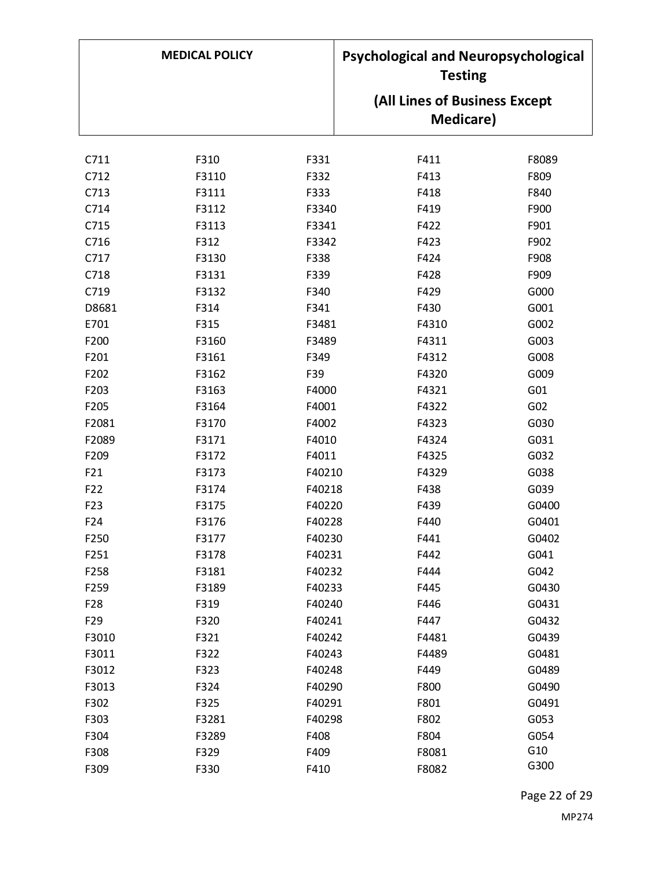| <b>MEDICAL POLICY</b> |       | <b>Psychological and Neuropsychological</b><br><b>Testing</b> |                               |                 |
|-----------------------|-------|---------------------------------------------------------------|-------------------------------|-----------------|
|                       |       |                                                               | (All Lines of Business Except |                 |
|                       |       |                                                               | <b>Medicare</b> )             |                 |
| C711                  | F310  | F331                                                          | F411                          | F8089           |
| C712                  | F3110 | F332                                                          | F413                          | F809            |
| C713                  | F3111 | F333                                                          | F418                          | F840            |
| C714                  | F3112 | F3340                                                         | F419                          | F900            |
| C715                  | F3113 | F3341                                                         | F422                          | F901            |
| C716                  | F312  | F3342                                                         | F423                          | F902            |
| C717                  | F3130 | F338                                                          | F424                          | F908            |
| C718                  | F3131 | F339                                                          | F428                          | F909            |
| C719                  | F3132 | F340                                                          | F429                          | G000            |
| D8681                 | F314  | F341                                                          | F430                          | G001            |
| E701                  | F315  | F3481                                                         | F4310                         | G002            |
| F200                  | F3160 | F3489                                                         | F4311                         | G003            |
| F201                  | F3161 | F349                                                          | F4312                         | G008            |
| F202                  | F3162 | F39                                                           | F4320                         | G009            |
| F203                  | F3163 | F4000                                                         | F4321                         | G01             |
| F205                  | F3164 | F4001                                                         | F4322                         | G <sub>02</sub> |
| F2081                 | F3170 | F4002                                                         | F4323                         | G030            |
| F2089                 | F3171 | F4010                                                         | F4324                         | G031            |
| F209                  | F3172 | F4011                                                         | F4325                         | G032            |
| F21                   | F3173 | F40210                                                        | F4329                         | G038            |
| F22                   | F3174 | F40218                                                        | F438                          | G039            |
| F <sub>23</sub>       | F3175 | F40220                                                        | F439                          | G0400           |
| F <sub>24</sub>       | F3176 | F40228                                                        | F440                          | G0401           |
| F250                  | F3177 | F40230                                                        | F441                          | G0402           |
| F251                  | F3178 | F40231                                                        | F442                          | G041            |
| F258                  | F3181 | F40232                                                        | F444                          | G042            |
| F259                  | F3189 | F40233                                                        | F445                          | G0430           |
| F <sub>28</sub>       | F319  | F40240                                                        | F446                          | G0431           |
| F <sub>29</sub>       | F320  | F40241                                                        | F447                          | G0432           |
| F3010                 | F321  | F40242                                                        | F4481                         | G0439           |
| F3011                 | F322  | F40243                                                        | F4489                         | G0481           |
| F3012                 | F323  | F40248                                                        | F449                          | G0489           |
| F3013                 | F324  | F40290                                                        | F800                          | G0490           |
| F302                  | F325  | F40291                                                        | F801                          | G0491           |
| F303                  | F3281 | F40298                                                        | F802                          | G053            |
| F304                  | F3289 | F408                                                          | F804                          | G054            |
| F308                  | F329  | F409                                                          | F8081                         | G10             |
| F309                  | F330  | F410                                                          | F8082                         | G300            |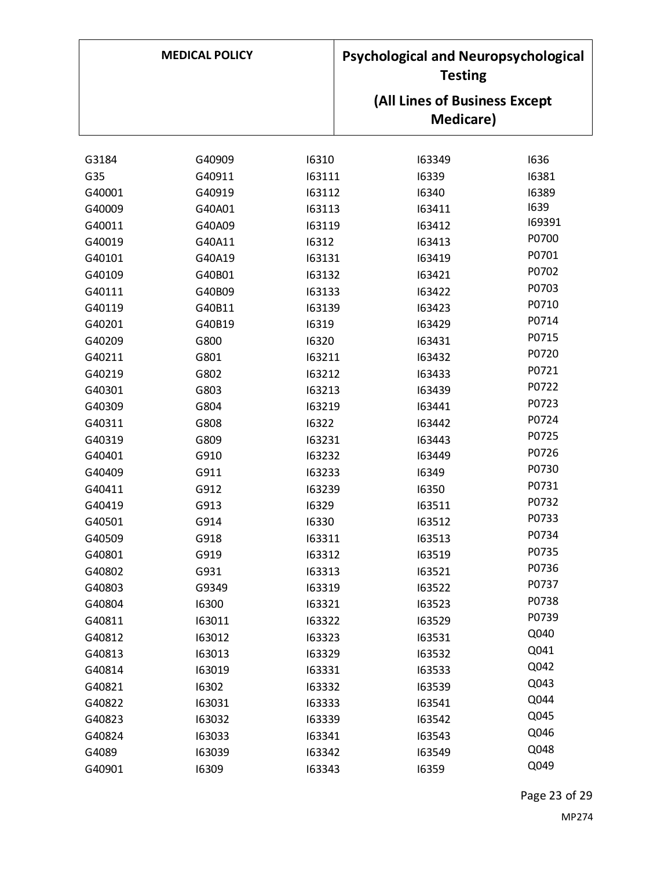| <b>MEDICAL POLICY</b> |        | <b>Psychological and Neuropsychological</b><br><b>Testing</b> |                                                    |        |
|-----------------------|--------|---------------------------------------------------------------|----------------------------------------------------|--------|
|                       |        |                                                               | (All Lines of Business Except<br><b>Medicare</b> ) |        |
| G3184                 | G40909 | 16310                                                         | 163349                                             | 1636   |
| G35                   | G40911 | 163111                                                        | 16339                                              | 16381  |
| G40001                | G40919 | 163112                                                        | 16340                                              | 16389  |
| G40009                | G40A01 | 163113                                                        | 163411                                             | 1639   |
| G40011                | G40A09 | 163119                                                        | 163412                                             | 169391 |
| G40019                | G40A11 | 16312                                                         | 163413                                             | P0700  |
| G40101                | G40A19 | 163131                                                        | 163419                                             | P0701  |
| G40109                | G40B01 | 163132                                                        | 163421                                             | P0702  |
| G40111                | G40B09 | 163133                                                        | 163422                                             | P0703  |
| G40119                | G40B11 | 163139                                                        | 163423                                             | P0710  |
| G40201                | G40B19 | 16319                                                         | 163429                                             | P0714  |
| G40209                | G800   | 16320                                                         | 163431                                             | P0715  |
| G40211                | G801   | 163211                                                        | 163432                                             | P0720  |
| G40219                | G802   | 163212                                                        | 163433                                             | P0721  |
| G40301                | G803   | 163213                                                        | 163439                                             | P0722  |
| G40309                | G804   | 163219                                                        | 163441                                             | P0723  |
| G40311                | G808   | 16322                                                         | 163442                                             | P0724  |
| G40319                | G809   | 163231                                                        | 163443                                             | P0725  |
| G40401                | G910   | 163232                                                        | 163449                                             | P0726  |
| G40409                | G911   | 163233                                                        | 16349                                              | P0730  |
| G40411                | G912   | 163239                                                        | 16350                                              | P0731  |
| G40419                | G913   | 16329                                                         | 163511                                             | P0732  |
| G40501                | G914   | 16330                                                         | 163512                                             | P0733  |
| G40509                | G918   | 163311                                                        | 163513                                             | P0734  |
| G40801                | G919   | 163312                                                        | 163519                                             | P0735  |
| G40802                | G931   | 163313                                                        | 163521                                             | P0736  |
| G40803                | G9349  | 163319                                                        | 163522                                             | P0737  |
| G40804                | 16300  | 163321                                                        | 163523                                             | P0738  |
| G40811                | 163011 | 163322                                                        | 163529                                             | P0739  |
| G40812                | 163012 | 163323                                                        | 163531                                             | Q040   |
| G40813                | 163013 | 163329                                                        | 163532                                             | Q041   |
| G40814                | 163019 | 163331                                                        | 163533                                             | Q042   |
| G40821                | 16302  | 163332                                                        | 163539                                             | Q043   |
| G40822                | 163031 | 163333                                                        | 163541                                             | Q044   |
| G40823                | 163032 | 163339                                                        | 163542                                             | Q045   |
| G40824                | 163033 | 163341                                                        | 163543                                             | Q046   |
| G4089                 | 163039 | 163342                                                        | 163549                                             | Q048   |
| G40901                | 16309  | 163343                                                        | 16359                                              | Q049   |

Page 23 of 29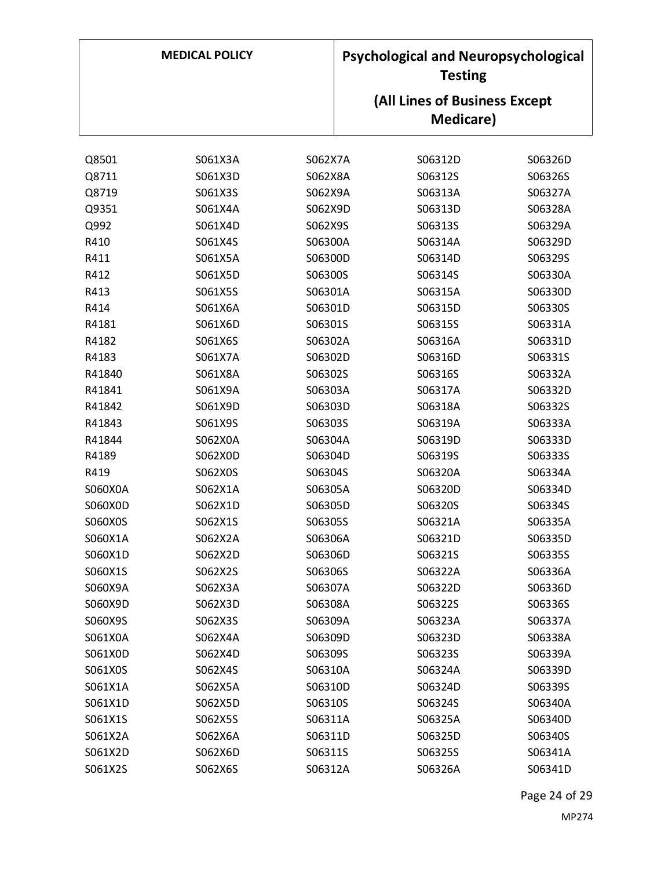| <b>MEDICAL POLICY</b> |         | <b>Psychological and Neuropsychological</b><br><b>Testing</b> |  |                               |         |
|-----------------------|---------|---------------------------------------------------------------|--|-------------------------------|---------|
|                       |         |                                                               |  | (All Lines of Business Except |         |
|                       |         |                                                               |  | Medicare)                     |         |
|                       |         |                                                               |  |                               |         |
| Q8501                 | S061X3A | S062X7A                                                       |  | S06312D                       | S06326D |
| Q8711                 | S061X3D | S062X8A                                                       |  | S06312S                       | S06326S |
| Q8719                 | S061X3S | S062X9A                                                       |  | S06313A                       | S06327A |
| Q9351                 | S061X4A | S062X9D                                                       |  | S06313D                       | S06328A |
| Q992                  | S061X4D | S062X9S                                                       |  | S06313S                       | S06329A |
| R410                  | S061X4S | S06300A                                                       |  | S06314A                       | S06329D |
| R411                  | S061X5A | S06300D                                                       |  | S06314D                       | S06329S |
| R412                  | S061X5D | S06300S                                                       |  | S06314S                       | S06330A |
| R413                  | S061X5S | S06301A                                                       |  | S06315A                       | S06330D |
| R414                  | S061X6A | S06301D                                                       |  | S06315D                       | S06330S |
| R4181                 | S061X6D | S06301S                                                       |  | S06315S                       | S06331A |
| R4182                 | S061X6S | S06302A                                                       |  | S06316A                       | S06331D |
| R4183                 | S061X7A | S06302D                                                       |  | S06316D                       | S06331S |
| R41840                | S061X8A | S06302S                                                       |  | S06316S                       | S06332A |
| R41841                | S061X9A | S06303A                                                       |  | S06317A                       | S06332D |
| R41842                | S061X9D | S06303D                                                       |  | S06318A                       | S06332S |
| R41843                | S061X9S | S06303S                                                       |  | S06319A                       | S06333A |
| R41844                | S062X0A | S06304A                                                       |  | S06319D                       | S06333D |
| R4189                 | S062X0D | S06304D                                                       |  | S06319S                       | S06333S |
| R419                  | S062X0S | S06304S                                                       |  | S06320A                       | S06334A |
| S060X0A               | S062X1A | S06305A                                                       |  | S06320D                       | S06334D |
| S060X0D               | S062X1D | S06305D                                                       |  | S06320S                       | S06334S |
| S060X0S               | S062X1S | S06305S                                                       |  | S06321A                       | S06335A |
| S060X1A               | S062X2A | S06306A                                                       |  | S06321D                       | S06335D |
| S060X1D               | S062X2D | S06306D                                                       |  | S06321S                       | S06335S |
| S060X1S               | S062X2S | S06306S                                                       |  | S06322A                       | S06336A |
| S060X9A               | S062X3A | S06307A                                                       |  | S06322D                       | S06336D |
| S060X9D               | S062X3D | S06308A                                                       |  | S06322S                       | S06336S |
| S060X9S               | S062X3S | S06309A                                                       |  | S06323A                       | S06337A |
| S061X0A               | S062X4A | S06309D                                                       |  | S06323D                       | S06338A |
| S061X0D               | S062X4D | S06309S                                                       |  | S06323S                       | S06339A |
| S061X0S               | S062X4S | S06310A                                                       |  | S06324A                       | S06339D |
| S061X1A               | S062X5A | S06310D                                                       |  | S06324D                       | S06339S |
| S061X1D               | S062X5D | S06310S                                                       |  | S06324S                       | S06340A |
| S061X1S               | S062X5S | S06311A                                                       |  | S06325A                       | S06340D |
| S061X2A               | S062X6A | S06311D                                                       |  | S06325D                       | S06340S |
| S061X2D               | S062X6D | S06311S                                                       |  | S06325S                       | S06341A |
| S061X2S               | S062X6S | S06312A                                                       |  | S06326A                       | S06341D |

Page 24 of 29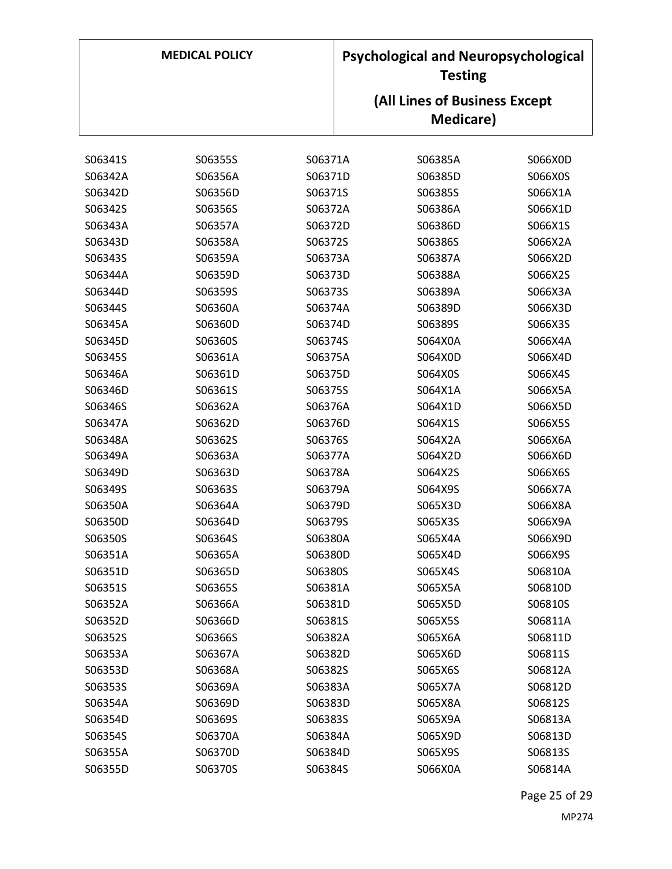| <b>MEDICAL POLICY</b> |         | <b>Psychological and Neuropsychological</b><br><b>Testing</b> |  |                               |         |
|-----------------------|---------|---------------------------------------------------------------|--|-------------------------------|---------|
|                       |         |                                                               |  | (All Lines of Business Except |         |
|                       |         |                                                               |  | Medicare)                     |         |
|                       |         |                                                               |  |                               |         |
| S06341S               | S06355S | S06371A                                                       |  | S06385A                       | S066X0D |
| S06342A               | S06356A | S06371D                                                       |  | S06385D                       | S066X0S |
| S06342D               | S06356D | S06371S                                                       |  | S06385S                       | S066X1A |
| S06342S               | S06356S | S06372A                                                       |  | S06386A                       | S066X1D |
| S06343A               | S06357A | S06372D                                                       |  | S06386D                       | S066X1S |
| S06343D               | S06358A | S06372S                                                       |  | S06386S                       | S066X2A |
| S06343S               | S06359A | S06373A                                                       |  | S06387A                       | S066X2D |
| S06344A               | S06359D | S06373D                                                       |  | S06388A                       | S066X2S |
| S06344D               | S06359S | S06373S                                                       |  | S06389A                       | S066X3A |
| S06344S               | S06360A | S06374A                                                       |  | S06389D                       | S066X3D |
| S06345A               | S06360D | S06374D                                                       |  | S06389S                       | S066X3S |
| S06345D               | S06360S | S06374S                                                       |  | S064X0A                       | S066X4A |
| S06345S               | S06361A | S06375A                                                       |  | S064X0D                       | S066X4D |
| S06346A               | S06361D | S06375D                                                       |  | S064X0S                       | S066X4S |
| S06346D               | S06361S | S06375S                                                       |  | S064X1A                       | S066X5A |
| S06346S               | S06362A | S06376A                                                       |  | S064X1D                       | S066X5D |
| S06347A               | S06362D | S06376D                                                       |  | S064X1S                       | S066X5S |
| S06348A               | S06362S | S06376S                                                       |  | S064X2A                       | S066X6A |
| S06349A               | S06363A | S06377A                                                       |  | S064X2D                       | S066X6D |
| S06349D               | S06363D | S06378A                                                       |  | S064X2S                       | S066X6S |
| S06349S               | S06363S | S06379A                                                       |  | S064X9S                       | S066X7A |
| S06350A               | S06364A | S06379D                                                       |  | S065X3D                       | S066X8A |
| S06350D               | S06364D | S06379S                                                       |  | S065X3S                       | S066X9A |
| S06350S               | S06364S | S06380A                                                       |  | S065X4A                       | S066X9D |
| S06351A               | S06365A | S06380D                                                       |  | S065X4D                       | S066X9S |
| S06351D               | S06365D | S06380S                                                       |  | S065X4S                       | S06810A |
| S06351S               | S06365S | S06381A                                                       |  | S065X5A                       | S06810D |
| S06352A               | S06366A | S06381D                                                       |  | S065X5D                       | S06810S |
| S06352D               | S06366D | S06381S                                                       |  | S065X5S                       | S06811A |
| S06352S               | S06366S | S06382A                                                       |  | S065X6A                       | S06811D |
| S06353A               | S06367A | S06382D                                                       |  | S065X6D                       | S06811S |
| S06353D               | S06368A | S06382S                                                       |  | S065X6S                       | S06812A |
| S06353S               | S06369A | S06383A                                                       |  | S065X7A                       | S06812D |
| S06354A               | S06369D | S06383D                                                       |  | S065X8A                       | S06812S |
| S06354D               | S06369S | S06383S                                                       |  | S065X9A                       | S06813A |
| S06354S               | S06370A | S06384A                                                       |  | S065X9D                       | S06813D |
| S06355A               | S06370D | S06384D                                                       |  | S065X9S                       | S06813S |
| S06355D               | S06370S | S06384S                                                       |  | S066X0A                       | S06814A |

Page 25 of 29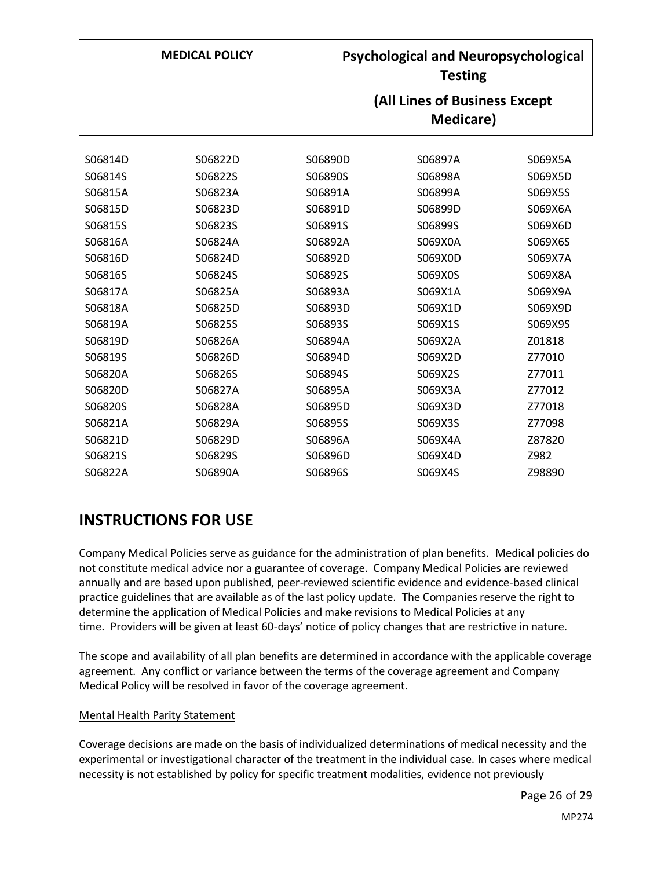|         | <b>MEDICAL POLICY</b> |         | <b>Psychological and Neuropsychological</b><br><b>Testing</b> |         |
|---------|-----------------------|---------|---------------------------------------------------------------|---------|
|         |                       |         | (All Lines of Business Except<br>Medicare)                    |         |
|         |                       |         |                                                               |         |
| S06814D | S06822D               | S06890D | S06897A                                                       | S069X5A |
| S06814S | S06822S               | S06890S | S06898A                                                       | S069X5D |
| S06815A | S06823A               | S06891A | S06899A                                                       | S069X5S |
| S06815D | S06823D               | S06891D | S06899D                                                       | S069X6A |
| S06815S | S06823S               | S06891S | S06899S                                                       | S069X6D |
| S06816A | S06824A               | S06892A | S069X0A                                                       | S069X6S |
| S06816D | S06824D               | S06892D | S069X0D                                                       | S069X7A |
| S06816S | S06824S               | S06892S | S069X0S                                                       | S069X8A |
| S06817A | S06825A               | S06893A | S069X1A                                                       | S069X9A |
| S06818A | S06825D               | S06893D | S069X1D                                                       | S069X9D |
| S06819A | S06825S               | S06893S | S069X1S                                                       | S069X9S |
| S06819D | S06826A               | S06894A | S069X2A                                                       | Z01818  |
| S06819S | S06826D               | S06894D | S069X2D                                                       | Z77010  |
| S06820A | S06826S               | S06894S | S069X2S                                                       | Z77011  |
| S06820D | S06827A               | S06895A | S069X3A                                                       | Z77012  |
| S06820S | S06828A               | S06895D | S069X3D                                                       | Z77018  |
| S06821A | S06829A               | S06895S | S069X3S                                                       | Z77098  |
| S06821D | S06829D               | S06896A | S069X4A                                                       | Z87820  |
| S06821S | S06829S               | S06896D | S069X4D                                                       | Z982    |
| S06822A | S06890A               | S06896S | S069X4S                                                       | Z98890  |

# **INSTRUCTIONS FOR USE**

Company Medical Policies serve as guidance for the administration of plan benefits. Medical policies do not constitute medical advice nor a guarantee of coverage. Company Medical Policies are reviewed annually and are based upon published, peer-reviewed scientific evidence and evidence-based clinical practice guidelines that are available as of the last policy update. The Companies reserve the right to determine the application of Medical Policies and make revisions to Medical Policies at any time. Providers will be given at least 60-days' notice of policy changes that are restrictive in nature.

The scope and availability of all plan benefits are determined in accordance with the applicable coverage agreement. Any conflict or variance between the terms of the coverage agreement and Company Medical Policy will be resolved in favor of the coverage agreement.

### Mental Health Parity Statement

Coverage decisions are made on the basis of individualized determinations of medical necessity and the experimental or investigational character of the treatment in the individual case. In cases where medical necessity is not established by policy for specific treatment modalities, evidence not previously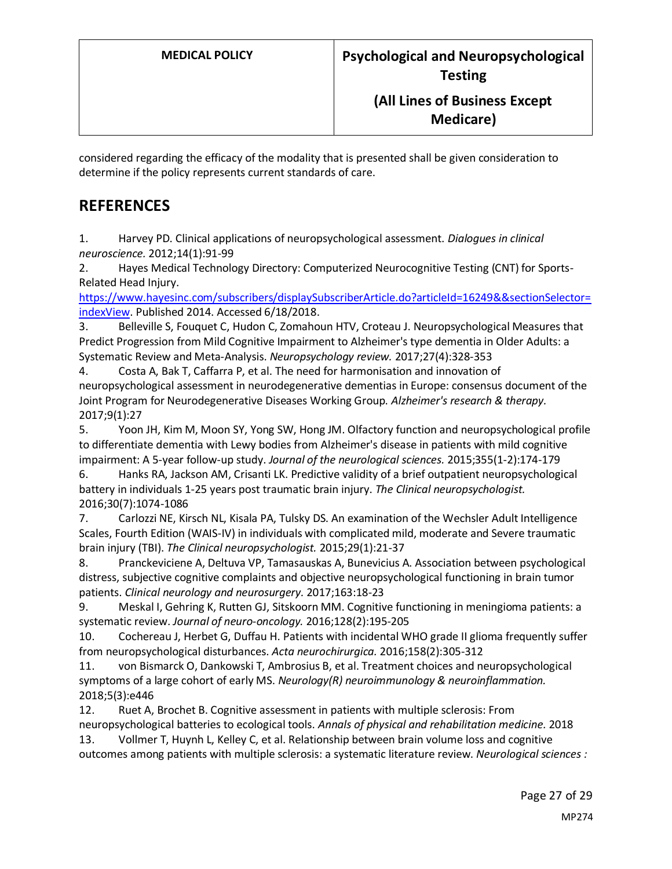considered regarding the efficacy of the modality that is presented shall be given consideration to determine if the policy represents current standards of care.

## **REFERENCES**

1. Harvey PD. Clinical applications of neuropsychological assessment. *Dialogues in clinical neuroscience.* 2012;14(1):91-99

2. Hayes Medical Technology Directory: Computerized Neurocognitive Testing (CNT) for Sports-Related Head Injury.

[https://www.hayesinc.com/subscribers/displaySubscriberArticle.do?articleId=16249&&sectionSelector=](https://www.hayesinc.com/subscribers/displaySubscriberArticle.do?articleId=16249&§ionSelector=indexView) [indexView.](https://www.hayesinc.com/subscribers/displaySubscriberArticle.do?articleId=16249&§ionSelector=indexView) Published 2014. Accessed 6/18/2018.

3. Belleville S, Fouquet C, Hudon C, Zomahoun HTV, Croteau J. Neuropsychological Measures that Predict Progression from Mild Cognitive Impairment to Alzheimer's type dementia in Older Adults: a Systematic Review and Meta-Analysis. *Neuropsychology review.* 2017;27(4):328-353

4. Costa A, Bak T, Caffarra P, et al. The need for harmonisation and innovation of neuropsychological assessment in neurodegenerative dementias in Europe: consensus document of the Joint Program for Neurodegenerative Diseases Working Group. *Alzheimer's research & therapy.*  2017;9(1):27

5. Yoon JH, Kim M, Moon SY, Yong SW, Hong JM. Olfactory function and neuropsychological profile to differentiate dementia with Lewy bodies from Alzheimer's disease in patients with mild cognitive impairment: A 5-year follow-up study. *Journal of the neurological sciences.* 2015;355(1-2):174-179

6. Hanks RA, Jackson AM, Crisanti LK. Predictive validity of a brief outpatient neuropsychological battery in individuals 1-25 years post traumatic brain injury. *The Clinical neuropsychologist.*  2016;30(7):1074-1086

7. Carlozzi NE, Kirsch NL, Kisala PA, Tulsky DS. An examination of the Wechsler Adult Intelligence Scales, Fourth Edition (WAIS-IV) in individuals with complicated mild, moderate and Severe traumatic brain injury (TBI). *The Clinical neuropsychologist.* 2015;29(1):21-37

8. Pranckeviciene A, Deltuva VP, Tamasauskas A, Bunevicius A. Association between psychological distress, subjective cognitive complaints and objective neuropsychological functioning in brain tumor patients. *Clinical neurology and neurosurgery.* 2017;163:18-23

9. Meskal I, Gehring K, Rutten GJ, Sitskoorn MM. Cognitive functioning in meningioma patients: a systematic review. *Journal of neuro-oncology.* 2016;128(2):195-205

10. Cochereau J, Herbet G, Duffau H. Patients with incidental WHO grade II glioma frequently suffer from neuropsychological disturbances. *Acta neurochirurgica.* 2016;158(2):305-312

11. von Bismarck O, Dankowski T, Ambrosius B, et al. Treatment choices and neuropsychological symptoms of a large cohort of early MS. *Neurology(R) neuroimmunology & neuroinflammation.*  2018;5(3):e446

12. Ruet A, Brochet B. Cognitive assessment in patients with multiple sclerosis: From

neuropsychological batteries to ecological tools. *Annals of physical and rehabilitation medicine.* 2018 13. Vollmer T, Huynh L, Kelley C, et al. Relationship between brain volume loss and cognitive

outcomes among patients with multiple sclerosis: a systematic literature review. *Neurological sciences :*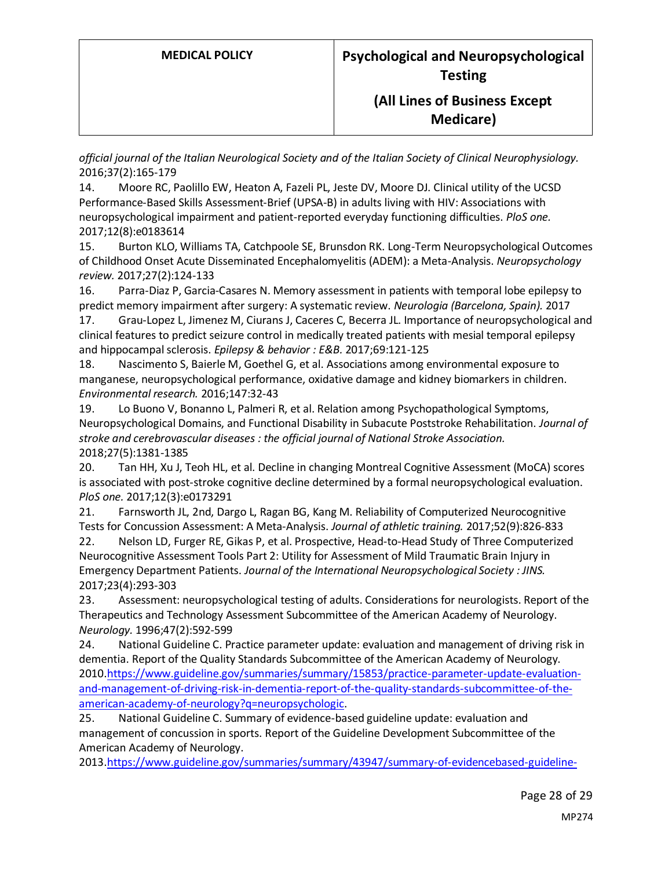*official journal of the Italian Neurological Society and of the Italian Society of Clinical Neurophysiology.*  2016;37(2):165-179

14. Moore RC, Paolillo EW, Heaton A, Fazeli PL, Jeste DV, Moore DJ. Clinical utility of the UCSD Performance-Based Skills Assessment-Brief (UPSA-B) in adults living with HIV: Associations with neuropsychological impairment and patient-reported everyday functioning difficulties. *PloS one.*  2017;12(8):e0183614

15. Burton KLO, Williams TA, Catchpoole SE, Brunsdon RK. Long-Term Neuropsychological Outcomes of Childhood Onset Acute Disseminated Encephalomyelitis (ADEM): a Meta-Analysis. *Neuropsychology review.* 2017;27(2):124-133

16. Parra-Diaz P, Garcia-Casares N. Memory assessment in patients with temporal lobe epilepsy to predict memory impairment after surgery: A systematic review. *Neurologia (Barcelona, Spain).* 2017

17. Grau-Lopez L, Jimenez M, Ciurans J, Caceres C, Becerra JL. Importance of neuropsychological and clinical features to predict seizure control in medically treated patients with mesial temporal epilepsy and hippocampal sclerosis. *Epilepsy & behavior : E&B.* 2017;69:121-125

18. Nascimento S, Baierle M, Goethel G, et al. Associations among environmental exposure to manganese, neuropsychological performance, oxidative damage and kidney biomarkers in children. *Environmental research.* 2016;147:32-43

19. Lo Buono V, Bonanno L, Palmeri R, et al. Relation among Psychopathological Symptoms, Neuropsychological Domains, and Functional Disability in Subacute Poststroke Rehabilitation. *Journal of stroke and cerebrovascular diseases : the official journal of National Stroke Association.*  2018;27(5):1381-1385

20. Tan HH, Xu J, Teoh HL, et al. Decline in changing Montreal Cognitive Assessment (MoCA) scores is associated with post-stroke cognitive decline determined by a formal neuropsychological evaluation. *PloS one.* 2017;12(3):e0173291

21. Farnsworth JL, 2nd, Dargo L, Ragan BG, Kang M. Reliability of Computerized Neurocognitive Tests for Concussion Assessment: A Meta-Analysis. *Journal of athletic training.* 2017;52(9):826-833

22. Nelson LD, Furger RE, Gikas P, et al. Prospective, Head-to-Head Study of Three Computerized Neurocognitive Assessment Tools Part 2: Utility for Assessment of Mild Traumatic Brain Injury in Emergency Department Patients. *Journal of the International Neuropsychological Society : JINS.*  2017;23(4):293-303

23. Assessment: neuropsychological testing of adults. Considerations for neurologists. Report of the Therapeutics and Technology Assessment Subcommittee of the American Academy of Neurology. *Neurology.* 1996;47(2):592-599

24. National Guideline C. Practice parameter update: evaluation and management of driving risk in dementia. Report of the Quality Standards Subcommittee of the American Academy of Neurology. 2010[.https://www.guideline.gov/summaries/summary/15853/practice-parameter-update-evaluation](https://www.guideline.gov/summaries/summary/15853/practice-parameter-update-evaluation-and-management-of-driving-risk-in-dementia-report-of-the-quality-standards-subcommittee-of-the-american-academy-of-neurology?q=neuropsychologic)[and-management-of-driving-risk-in-dementia-report-of-the-quality-standards-subcommittee-of-the](https://www.guideline.gov/summaries/summary/15853/practice-parameter-update-evaluation-and-management-of-driving-risk-in-dementia-report-of-the-quality-standards-subcommittee-of-the-american-academy-of-neurology?q=neuropsychologic)[american-academy-of-neurology?q=neuropsychologic.](https://www.guideline.gov/summaries/summary/15853/practice-parameter-update-evaluation-and-management-of-driving-risk-in-dementia-report-of-the-quality-standards-subcommittee-of-the-american-academy-of-neurology?q=neuropsychologic)

25. National Guideline C. Summary of evidence-based guideline update: evaluation and management of concussion in sports. Report of the Guideline Development Subcommittee of the American Academy of Neurology.

2013[.https://www.guideline.gov/summaries/summary/43947/summary-of-evidencebased-guideline-](https://www.guideline.gov/summaries/summary/43947/summary-of-evidencebased-guideline-update-evaluation-and-management-of-concussion-in-sports-report-of-the-guideline-development-subcommittee-of-the-american-academy-of-neurology?q=neuropsychological+test)